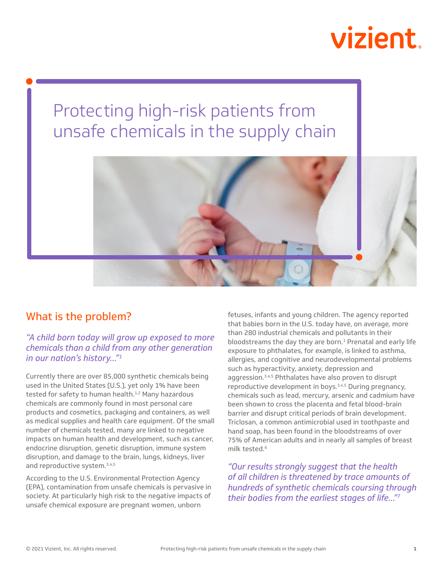# vizient

# Protecting high-risk patients from unsafe chemicals in the supply chain



## What is the problem?

### *"A child born today will grow up exposed to more chemicals than a child from any other generation in our nation's history..."1*

Currently there are over 85,000 synthetic chemicals being used in the United States (U.S.), yet only 1% have been tested for safety to human health.<sup>1,2</sup> Many hazardous chemicals are commonly found in most personal care products and cosmetics, packaging and containers, as well as medical supplies and health care equipment. Of the small number of chemicals tested, many are linked to negative impacts on human health and development, such as cancer, endocrine disruption, genetic disruption, immune system disruption, and damage to the brain, lungs, kidneys, liver and reproductive system.3,4,5

According to the U.S. Environmental Protection Agency (EPA), contamination from unsafe chemicals is pervasive in society. At particularly high risk to the negative impacts of unsafe chemical exposure are pregnant women, unborn

fetuses, infants and young children. The agency reported that babies born in the U.S. today have, on average, more than 280 industrial chemicals and pollutants in their bloodstreams the day they are born.<sup>1</sup> Prenatal and early life exposure to phthalates, for example, is linked to asthma, allergies, and cognitive and neurodevelopmental problems such as hyperactivity, anxiety, depression and aggression.3,4,5 Phthalates have also proven to disrupt reproductive development in boys.3,4,5 During pregnancy, chemicals such as lead, mercury, arsenic and cadmium have been shown to cross the placenta and fetal blood-brain barrier and disrupt critical periods of brain development. Triclosan, a common antimicrobial used in toothpaste and hand soap, has been found in the bloodstreams of over 75% of American adults and in nearly all samples of breast milk tested.6

*"Our results strongly suggest that the health of all children is threatened by trace amounts of hundreds of synthetic chemicals coursing through their bodies from the earliest stages of life…"7*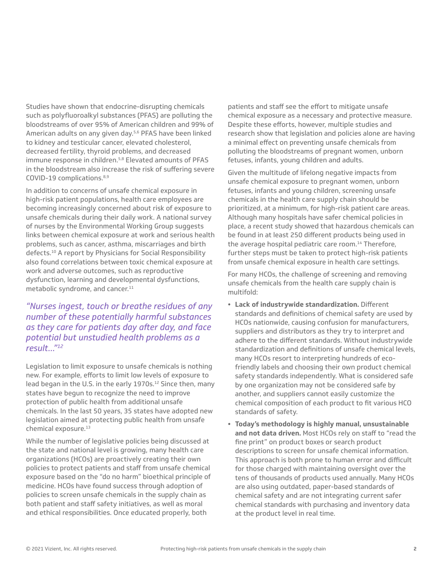Studies have shown that endocrine-disrupting chemicals such as polyfluoroalkyl substances (PFAS) are polluting the bloodstreams of over 95% of American children and 99% of American adults on any given day.5,6 PFAS have been linked to kidney and testicular cancer, elevated cholesterol, decreased fertility, thyroid problems, and decreased immune response in children.<sup>5,8</sup> Elevated amounts of PFAS in the bloodstream also increase the risk of suffering severe COVID-19 complications.8,9

In addition to concerns of unsafe chemical exposure in high-risk patient populations, health care employees are becoming increasingly concerned about risk of exposure to unsafe chemicals during their daily work. A national survey of nurses by the Environmental Working Group suggests links between chemical exposure at work and serious health problems, such as cancer, asthma, miscarriages and birth defects.10 A report by Physicians for Social Responsibility also found correlations between toxic chemical exposure at work and adverse outcomes, such as reproductive dysfunction, learning and developmental dysfunctions, metabolic syndrome, and cancer.<sup>11</sup>

*"Nurses ingest, touch or breathe residues of any number of these potentially harmful substances as they care for patients day after day, and face potential but unstudied health problems as a result..."12*

Legislation to limit exposure to unsafe chemicals is nothing new. For example, efforts to limit low levels of exposure to lead began in the U.S. in the early 1970s.<sup>12</sup> Since then, many states have begun to recognize the need to improve protection of public health from additional unsafe chemicals. In the last 50 years, 35 states have adopted new legislation aimed at protecting public health from unsafe chemical exposure.13

While the number of legislative policies being discussed at the state and national level is growing, many health care organizations (HCOs) are proactively creating their own policies to protect patients and staff from unsafe chemical exposure based on the "do no harm" bioethical principle of medicine. HCOs have found success through adoption of policies to screen unsafe chemicals in the supply chain as both patient and staff safety initiatives, as well as moral and ethical responsibilities. Once educated properly, both

patients and staff see the effort to mitigate unsafe chemical exposure as a necessary and protective measure. Despite these efforts, however, multiple studies and research show that legislation and policies alone are having a minimal effect on preventing unsafe chemicals from polluting the bloodstreams of pregnant women, unborn fetuses, infants, young children and adults.

Given the multitude of lifelong negative impacts from unsafe chemical exposure to pregnant women, unborn fetuses, infants and young children, screening unsafe chemicals in the health care supply chain should be prioritized, at a minimum, for high-risk patient care areas. Although many hospitals have safer chemical policies in place, a recent study showed that hazardous chemicals can be found in at least 250 different products being used in the average hospital pediatric care room.<sup>14</sup> Therefore, further steps must be taken to protect high-risk patients from unsafe chemical exposure in health care settings.

For many HCOs, the challenge of screening and removing unsafe chemicals from the health care supply chain is multifold:

- **• Lack of industrywide standardization.** Different standards and definitions of chemical safety are used by HCOs nationwide, causing confusion for manufacturers, suppliers and distributors as they try to interpret and adhere to the different standards. Without industrywide standardization and definitions of unsafe chemical levels, many HCOs resort to interpreting hundreds of ecofriendly labels and choosing their own product chemical safety standards independently. What is considered safe by one organization may not be considered safe by another, and suppliers cannot easily customize the chemical composition of each product to fit various HCO standards of safety.
- **• Today's methodology is highly manual, unsustainable and not data driven.** Most HCOs rely on staff to "read the fine print" on product boxes or search product descriptions to screen for unsafe chemical information. This approach is both prone to human error and difficult for those charged with maintaining oversight over the tens of thousands of products used annually. Many HCOs are also using outdated, paper-based standards of chemical safety and are not integrating current safer chemical standards with purchasing and inventory data at the product level in real time.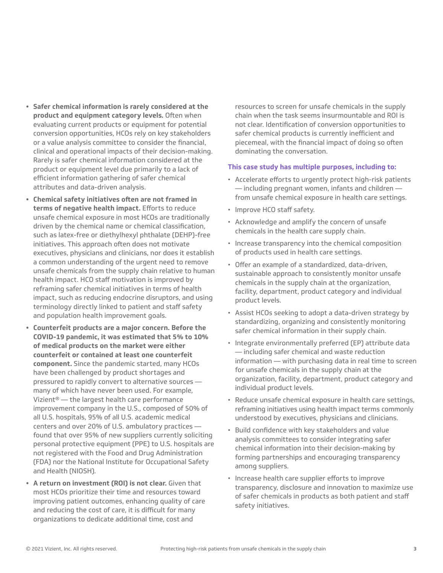- **• Safer chemical information is rarely considered at the product and equipment category levels.** Often when evaluating current products or equipment for potential conversion opportunities, HCOs rely on key stakeholders or a value analysis committee to consider the financial, clinical and operational impacts of their decision-making. Rarely is safer chemical information considered at the product or equipment level due primarily to a lack of efficient information gathering of safer chemical attributes and data-driven analysis.
- **• Chemical safety initiatives often are not framed in terms of negative health impact.** Efforts to reduce unsafe chemical exposure in most HCOs are traditionally driven by the chemical name or chemical classification, such as latex-free or diethylhexyl phthalate (DEHP)-free initiatives. This approach often does not motivate executives, physicians and clinicians, nor does it establish a common understanding of the urgent need to remove unsafe chemicals from the supply chain relative to human health impact. HCO staff motivation is improved by reframing safer chemical initiatives in terms of health impact, such as reducing endocrine disruptors, and using terminology directly linked to patient and staff safety and population health improvement goals.
- **• Counterfeit products are a major concern. Before the COVID-19 pandemic, it was estimated that 5% to 10% of medical products on the market were either counterfeit or contained at least one counterfeit component.** Since the pandemic started, many HCOs have been challenged by product shortages and pressured to rapidly convert to alternative sources many of which have never been used. For example, Vizient® — the largest health care performance improvement company in the U.S., composed of 50% of all U.S. hospitals, 95% of all U.S. academic medical centers and over 20% of U.S. ambulatory practices found that over 95% of new suppliers currently soliciting personal protective equipment (PPE) to U.S. hospitals are not registered with the Food and Drug Administration (FDA) nor the National Institute for Occupational Safety and Health (NIOSH).
- **• A return on investment (ROI) is not clear.** Given that most HCOs prioritize their time and resources toward improving patient outcomes, enhancing quality of care and reducing the cost of care, it is difficult for many organizations to dedicate additional time, cost and

resources to screen for unsafe chemicals in the supply chain when the task seems insurmountable and ROI is not clear. Identification of conversion opportunities to safer chemical products is currently inefficient and piecemeal, with the financial impact of doing so often dominating the conversation.

#### **This case study has multiple purposes, including to:**

- Accelerate efforts to urgently protect high-risk patients — including pregnant women, infants and children from unsafe chemical exposure in health care settings.
- Improve HCO staff safety.
- Acknowledge and amplify the concern of unsafe chemicals in the health care supply chain.
- Increase transparency into the chemical composition of products used in health care settings.
- Offer an example of a standardized, data-driven, sustainable approach to consistently monitor unsafe chemicals in the supply chain at the organization, facility, department, product category and individual product levels.
- Assist HCOs seeking to adopt a data-driven strategy by standardizing, organizing and consistently monitoring safer chemical information in their supply chain.
- Integrate environmentally preferred (EP) attribute data — including safer chemical and waste reduction information — with purchasing data in real time to screen for unsafe chemicals in the supply chain at the organization, facility, department, product category and individual product levels.
- Reduce unsafe chemical exposure in health care settings, reframing initiatives using health impact terms commonly understood by executives, physicians and clinicians.
- Build confidence with key stakeholders and value analysis committees to consider integrating safer chemical information into their decision-making by forming partnerships and encouraging transparency among suppliers.
- Increase health care supplier efforts to improve transparency, disclosure and innovation to maximize use of safer chemicals in products as both patient and staff safety initiatives.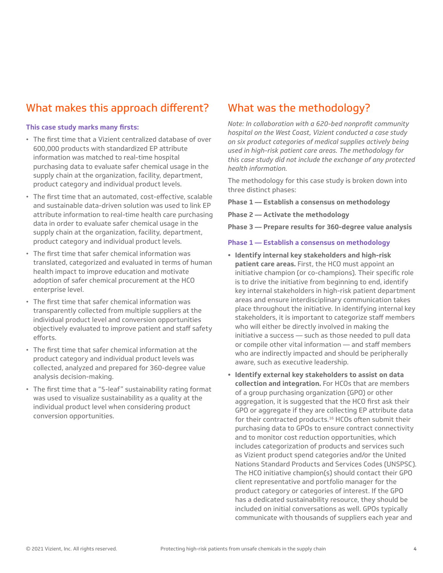## What makes this approach different?

#### **This case study marks many firsts:**

- The first time that a Vizient centralized database of over 600,000 products with standardized EP attribute information was matched to real-time hospital purchasing data to evaluate safer chemical usage in the supply chain at the organization, facility, department, product category and individual product levels.
- The first time that an automated, cost-effective, scalable and sustainable data-driven solution was used to link EP attribute information to real-time health care purchasing data in order to evaluate safer chemical usage in the supply chain at the organization, facility, department, product category and individual product levels.
- The first time that safer chemical information was translated, categorized and evaluated in terms of human health impact to improve education and motivate adoption of safer chemical procurement at the HCO enterprise level.
- The first time that safer chemical information was transparently collected from multiple suppliers at the individual product level and conversion opportunities objectively evaluated to improve patient and staff safety efforts.
- The first time that safer chemical information at the product category and individual product levels was collected, analyzed and prepared for 360-degree value analysis decision-making.
- The first time that a "5-leaf" sustainability rating format was used to visualize sustainability as a quality at the individual product level when considering product conversion opportunities.

## What was the methodology?

*Note: In collaboration with a 620-bed nonprofit community hospital on the West Coast, Vizient conducted a case study on six product categories of medical supplies actively being used in high-risk patient care areas. The methodology for this case study did not include the exchange of any protected health information.*

The methodology for this case study is broken down into three distinct phases:

**Phase 1 –– Establish a consensus on methodology**

**Phase 2 –– Activate the methodology**

**Phase 3 –– Prepare results for 360-degree value analysis**

#### **Phase 1 — Establish a consensus on methodology**

- **• Identify internal key stakeholders and high-risk patient care areas.** First, the HCO must appoint an initiative champion (or co-champions). Their specific role is to drive the initiative from beginning to end, identify key internal stakeholders in high-risk patient department areas and ensure interdisciplinary communication takes place throughout the initiative. In identifying internal key stakeholders, it is important to categorize staff members who will either be directly involved in making the initiative a success — such as those needed to pull data or compile other vital information — and staff members who are indirectly impacted and should be peripherally aware, such as executive leadership.
- **• Identify external key stakeholders to assist on data collection and integration.** For HCOs that are members of a group purchasing organization (GPO) or other aggregation, it is suggested that the HCO first ask their GPO or aggregate if they are collecting EP attribute data for their contracted products.<sup>16</sup> HCOs often submit their purchasing data to GPOs to ensure contract connectivity and to monitor cost reduction opportunities, which includes categorization of products and services such as Vizient product spend categories and/or the United Nations Standard Products and Services Codes (UNSPSC). The HCO initiative champion(s) should contact their GPO client representative and portfolio manager for the product category or categories of interest. If the GPO has a dedicated sustainability resource, they should be included on initial conversations as well. GPOs typically communicate with thousands of suppliers each year and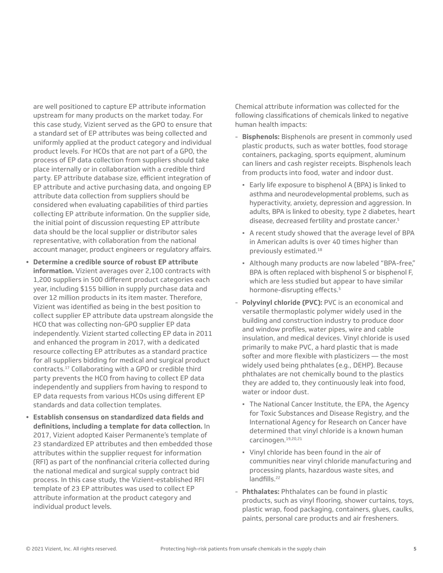are well positioned to capture EP attribute information upstream for many products on the market today. For this case study, Vizient served as the GPO to ensure that a standard set of EP attributes was being collected and uniformly applied at the product category and individual product levels. For HCOs that are not part of a GPO, the process of EP data collection from suppliers should take place internally or in collaboration with a credible third party. EP attribute database size, efficient integration of EP attribute and active purchasing data, and ongoing EP attribute data collection from suppliers should be considered when evaluating capabilities of third parties collecting EP attribute information. On the supplier side, the initial point of discussion requesting EP attribute data should be the local supplier or distributor sales representative, with collaboration from the national account manager, product engineers or regulatory affairs.

- **• Determine a credible source of robust EP attribute information.** Vizient averages over 2,100 contracts with 1,200 suppliers in 500 different product categories each year, including \$155 billion in supply purchase data and over 12 million products in its item master. Therefore, Vizient was identified as being in the best position to collect supplier EP attribute data upstream alongside the HCO that was collecting non-GPO supplier EP data independently. Vizient started collecting EP data in 2011 and enhanced the program in 2017, with a dedicated resource collecting EP attributes as a standard practice for all suppliers bidding for medical and surgical product contracts.17 Collaborating with a GPO or credible third party prevents the HCO from having to collect EP data independently and suppliers from having to respond to EP data requests from various HCOs using different EP standards and data collection templates.
- **• Establish consensus on standardized data fields and definitions, including a template for data collection.** In 2017, Vizient adopted Kaiser Permanente's template of 23 standardized EP attributes and then embedded those attributes within the supplier request for information (RFI) as part of the nonfinancial criteria collected during the national medical and surgical supply contract bid process. In this case study, the Vizient-established RFI template of 23 EP attributes was used to collect EP attribute information at the product category and individual product levels.

Chemical attribute information was collected for the following classifications of chemicals linked to negative human health impacts:

- **Bisphenols:** Bisphenols are present in commonly used plastic products, such as water bottles, food storage containers, packaging, sports equipment, aluminum can liners and cash register receipts. Bisphenols leach from products into food, water and indoor dust.
	- Early life exposure to bisphenol A (BPA) is linked to asthma and neurodevelopmental problems, such as hyperactivity, anxiety, depression and aggression. In adults, BPA is linked to obesity, type 2 diabetes, heart disease, decreased fertility and prostate cancer.<sup>5</sup>
	- A recent study showed that the average level of BPA in American adults is over 40 times higher than previously estimated.18
	- Although many products are now labeled "BPA-free," BPA is often replaced with bisphenol S or bisphenol F, which are less studied but appear to have similar hormone-disrupting effects.<sup>5</sup>
- **Polyvinyl chloride (PVC):** PVC is an economical and versatile thermoplastic polymer widely used in the building and construction industry to produce door and window profiles, water pipes, wire and cable insulation, and medical devices. Vinyl chloride is used primarily to make PVC, a hard plastic that is made softer and more flexible with plasticizers — the most widely used being phthalates (e.g., DEHP). Because phthalates are not chemically bound to the plastics they are added to, they continuously leak into food, water or indoor dust.
	- **· The National Cancer Institute, the EPA, the Agency** for Toxic Substances and Disease Registry, and the International Agency for Research on Cancer have determined that vinyl chloride is a known human carcinogen.19,20,21
	- Vinyl chloride has been found in the air of communities near vinyl chloride manufacturing and processing plants, hazardous waste sites, and landfills.<sup>22</sup>
- **Phthalates:** Phthalates can be found in plastic products, such as vinyl flooring, shower curtains, toys, plastic wrap, food packaging, containers, glues, caulks, paints, personal care products and air fresheners.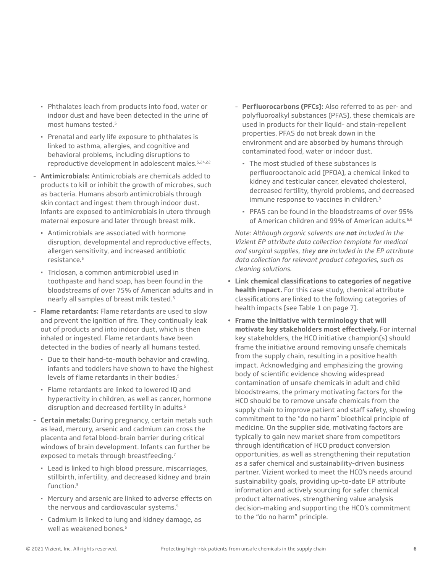- Phthalates leach from products into food, water or indoor dust and have been detected in the urine of most humans tested.5
- **Prenatal and early life exposure to phthalates is** linked to asthma, allergies, and cognitive and behavioral problems, including disruptions to reproductive development in adolescent males.5,24,22
- **Antimicrobials:** Antimicrobials are chemicals added to products to kill or inhibit the growth of microbes, such as bacteria. Humans absorb antimicrobials through skin contact and ingest them through indoor dust. Infants are exposed to antimicrobials in utero through maternal exposure and later through breast milk.
	- **·** Antimicrobials are associated with hormone disruption, developmental and reproductive effects, allergen sensitivity, and increased antibiotic resistance.5
	- Triclosan, a common antimicrobial used in toothpaste and hand soap, has been found in the bloodstreams of over 75% of American adults and in nearly all samples of breast milk tested.5
- **Flame retardants:** Flame retardants are used to slow and prevent the ignition of fire. They continually leak out of products and into indoor dust, which is then inhaled or ingested. Flame retardants have been detected in the bodies of nearly all humans tested.
	- Due to their hand-to-mouth behavior and crawling, infants and toddlers have shown to have the highest levels of flame retardants in their bodies.<sup>5</sup>
	- Flame retardants are linked to lowered IQ and hyperactivity in children, as well as cancer, hormone disruption and decreased fertility in adults.<sup>5</sup>
- **Certain metals:** During pregnancy, certain metals such as lead, mercury, arsenic and cadmium can cross the placenta and fetal blood-brain barrier during critical windows of brain development. Infants can further be exposed to metals through breastfeeding.<sup>7</sup>
	- Lead is linked to high blood pressure, miscarriages, stillbirth, infertility, and decreased kidney and brain function.<sup>5</sup>
	- Mercury and arsenic are linked to adverse effects on the nervous and cardiovascular systems.<sup>5</sup>
	- Cadmium is linked to lung and kidney damage, as well as weakened bones.<sup>5</sup>
- **Perfluorocarbons (PFCs):** Also referred to as per- and polyfluoroalkyl substances (PFAS), these chemicals are used in products for their liquid- and stain-repellent properties. PFAS do not break down in the environment and are absorbed by humans through contaminated food, water or indoor dust.
	- The most studied of these substances is perfluorooctanoic acid (PFOA), a chemical linked to kidney and testicular cancer, elevated cholesterol, decreased fertility, thyroid problems, and decreased immune response to vaccines in children.<sup>5</sup>
	- PFAS can be found in the bloodstreams of over 95% of American children and 99% of American adults <sup>5,6</sup>

*Note: Although organic solvents are not included in the Vizient EP attribute data collection template for medical and surgical supplies, they are included in the EP attribute data collection for relevant product categories, such as cleaning solutions.*

- **• Link chemical classifications to categories of negative health impact.** For this case study, chemical attribute classifications are linked to the following categories of health impacts (see Table 1 on page 7).
- **• Frame the initiative with terminology that will motivate key stakeholders most effectively.** For internal key stakeholders, the HCO initiative champion(s) should frame the initiative around removing unsafe chemicals from the supply chain, resulting in a positive health impact. Acknowledging and emphasizing the growing body of scientific evidence showing widespread contamination of unsafe chemicals in adult and child bloodstreams, the primary motivating factors for the HCO should be to remove unsafe chemicals from the supply chain to improve patient and staff safety, showing commitment to the "do no harm" bioethical principle of medicine. On the supplier side, motivating factors are typically to gain new market share from competitors through identification of HCO product conversion opportunities, as well as strengthening their reputation as a safer chemical and sustainability-driven business partner. Vizient worked to meet the HCO's needs around sustainability goals, providing up-to-date EP attribute information and actively sourcing for safer chemical product alternatives, strengthening value analysis decision-making and supporting the HCO's commitment to the "do no harm" principle.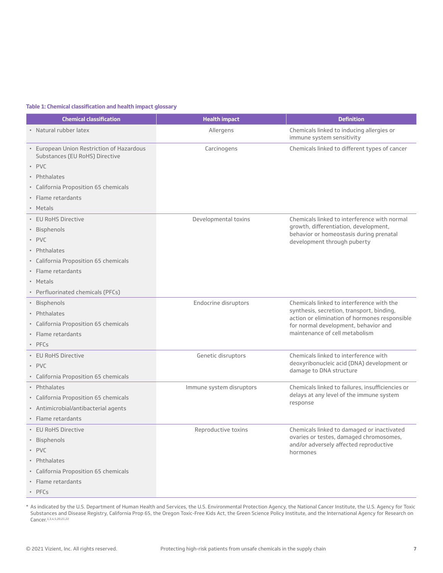#### **Table 1: Chemical classification and health impact glossary**

| <b>Chemical classification</b>                                                                                                                                               | <b>Health impact</b>     | <b>Definition</b>                                                                                                                                                                                                 |
|------------------------------------------------------------------------------------------------------------------------------------------------------------------------------|--------------------------|-------------------------------------------------------------------------------------------------------------------------------------------------------------------------------------------------------------------|
| • Natural rubber latex                                                                                                                                                       | Allergens                | Chemicals linked to inducing allergies or<br>immune system sensitivity                                                                                                                                            |
| • European Union Restriction of Hazardous<br>Substances (EU RoHS) Directive<br>• PVC<br>• Phthalates<br>• California Proposition 65 chemicals<br>• Flame retardants          | Carcinogens              | Chemicals linked to different types of cancer                                                                                                                                                                     |
| · Metals                                                                                                                                                                     |                          |                                                                                                                                                                                                                   |
| • EU RoHS Directive<br>• Bisphenols<br>• PVC<br>• Phthalates<br>• California Proposition 65 chemicals<br>· Flame retardants<br>· Metals<br>• Perfluorinated chemicals (PFCs) | Developmental toxins     | Chemicals linked to interference with normal<br>growth, differentiation, development,<br>behavior or homeostasis during prenatal<br>development through puberty                                                   |
| • Bisphenols<br>• Phthalates<br>• California Proposition 65 chemicals<br>• Flame retardants<br>$\cdot$ PFCs                                                                  | Endocrine disruptors     | Chemicals linked to interference with the<br>synthesis, secretion, transport, binding,<br>action or elimination of hormones responsible<br>for normal development, behavior and<br>maintenance of cell metabolism |
| • EU RoHS Directive<br>$\cdot$ PVC<br>• California Proposition 65 chemicals                                                                                                  | Genetic disruptors       | Chemicals linked to interference with<br>deoxyribonucleic acid (DNA) development or<br>damage to DNA structure                                                                                                    |
| • Phthalates<br>• California Proposition 65 chemicals<br>• Antimicrobial/antibacterial agents<br>• Flame retardants                                                          | Immune system disruptors | Chemicals linked to failures, insufficiencies or<br>delays at any level of the immune system<br>response                                                                                                          |
| • EU RoHS Directive<br>· Bisphenols<br>· PVC<br>• Phthalates<br>• California Proposition 65 chemicals<br>· Flame retardants<br>· PFCs                                        | Reproductive toxins      | Chemicals linked to damaged or inactivated<br>ovaries or testes, damaged chromosomes,<br>and/or adversely affected reproductive<br>hormones                                                                       |

\* As indicated by the U.S. Department of Human Health and Services, the U.S. Environmental Protection Agency, the National Cancer Institute, the U.S. Agency for Toxic Substances and Disease Registry, California Prop 65, the Oregon Toxic-Free Kids Act, the Green Science Policy Institute, and the International Agency for Research on Cancer.<sup>1,3,4,5,20,21,22</sup>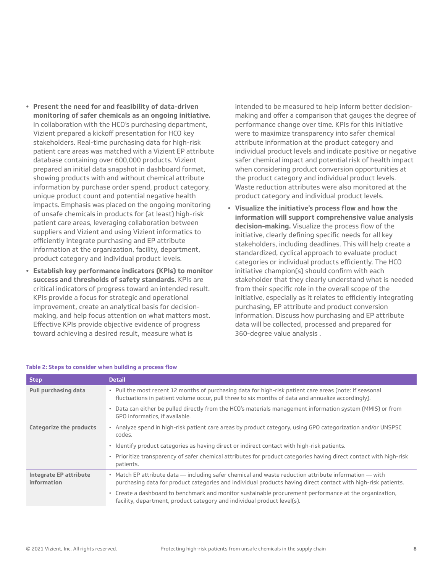- **• Present the need for and feasibility of data-driven monitoring of safer chemicals as an ongoing initiative.** In collaboration with the HCO's purchasing department, Vizient prepared a kickoff presentation for HCO key stakeholders. Real-time purchasing data for high-risk patient care areas was matched with a Vizient EP attribute database containing over 600,000 products. Vizient prepared an initial data snapshot in dashboard format, showing products with and without chemical attribute information by purchase order spend, product category, unique product count and potential negative health impacts. Emphasis was placed on the ongoing monitoring of unsafe chemicals in products for (at least) high-risk patient care areas, leveraging collaboration between suppliers and Vizient and using Vizient informatics to efficiently integrate purchasing and EP attribute information at the organization, facility, department, product category and individual product levels.
- **• Establish key performance indicators (KPIs) to monitor success and thresholds of safety standards.** KPIs are critical indicators of progress toward an intended result. KPIs provide a focus for strategic and operational improvement, create an analytical basis for decisionmaking, and help focus attention on what matters most. Effective KPIs provide objective evidence of progress toward achieving a desired result, measure what is

intended to be measured to help inform better decisionmaking and offer a comparison that gauges the degree of performance change over time. KPIs for this initiative were to maximize transparency into safer chemical attribute information at the product category and individual product levels and indicate positive or negative safer chemical impact and potential risk of health impact when considering product conversion opportunities at the product category and individual product levels. Waste reduction attributes were also monitored at the product category and individual product levels.

**• Visualize the initiative's process flow and how the information will support comprehensive value analysis decision-making.** Visualize the process flow of the initiative, clearly defining specific needs for all key stakeholders, including deadlines. This will help create a standardized, cyclical approach to evaluate product categories or individual products efficiently. The HCO initiative champion(s) should confirm with each stakeholder that they clearly understand what is needed from their specific role in the overall scope of the initiative, especially as it relates to efficiently integrating purchasing, EP attribute and product conversion information. Discuss how purchasing and EP attribute data will be collected, processed and prepared for 360-degree value analysis .

| <b>Step</b>                                  | <b>Detail</b>                                                                                                                                                                                                          |
|----------------------------------------------|------------------------------------------------------------------------------------------------------------------------------------------------------------------------------------------------------------------------|
| <b>Pull purchasing data</b>                  | • Pull the most recent 12 months of purchasing data for high-risk patient care areas (note: if seasonal<br>fluctuations in patient volume occur, pull three to six months of data and annualize accordingly).          |
|                                              | Data can either be pulled directly from the HCO's materials management information system (MMIS) or from<br>GPO informatics, if available.                                                                             |
| Categorize the products                      | . Analyze spend in high-risk patient care areas by product category, using GPO categorization and/or UNSPSC<br>codes.                                                                                                  |
|                                              | · Identify product categories as having direct or indirect contact with high-risk patients.                                                                                                                            |
|                                              | • Prioritize transparency of safer chemical attributes for product categories having direct contact with high-risk<br>patients.                                                                                        |
| <b>Integrate EP attribute</b><br>information | • Match EP attribute data - including safer chemical and waste reduction attribute information - with<br>purchasing data for product categories and individual products having direct contact with high-risk patients. |
|                                              | . Create a dashboard to benchmark and monitor sustainable procurement performance at the organization,<br>facility, department, product category and individual product level(s).                                      |

#### **Table 2: Steps to consider when building a process flow**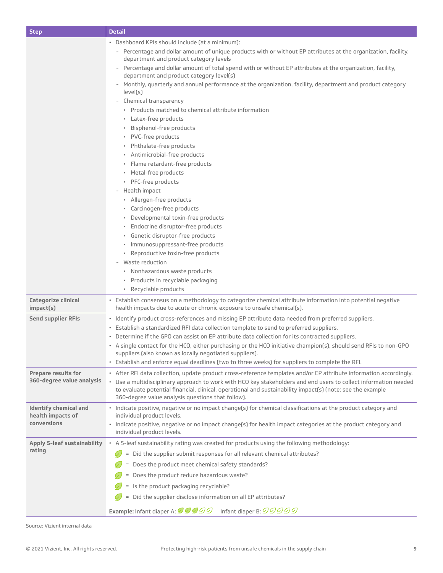| <b>Step</b>                                       | <b>Detail</b>                                                                                                                                                                         |
|---------------------------------------------------|---------------------------------------------------------------------------------------------------------------------------------------------------------------------------------------|
|                                                   | · Dashboard KPIs should include (at a minimum):                                                                                                                                       |
|                                                   | - Percentage and dollar amount of unique products with or without EP attributes at the organization, facility,<br>department and product category levels                              |
|                                                   | Percentage and dollar amount of total spend with or without EP attributes at the organization, facility,<br>$\overline{\phantom{a}}$<br>department and product category level(s)      |
|                                                   | Monthly, quarterly and annual performance at the organization, facility, department and product category<br>level(s)                                                                  |
|                                                   | - Chemical transparency                                                                                                                                                               |
|                                                   | · Products matched to chemical attribute information                                                                                                                                  |
|                                                   | • Latex-free products                                                                                                                                                                 |
|                                                   | · Bisphenol-free products                                                                                                                                                             |
|                                                   | · PVC-free products                                                                                                                                                                   |
|                                                   | · Phthalate-free products                                                                                                                                                             |
|                                                   | · Antimicrobial-free products                                                                                                                                                         |
|                                                   | · Flame retardant-free products                                                                                                                                                       |
|                                                   | · Metal-free products<br>· PFC-free products                                                                                                                                          |
|                                                   | Health impact<br>$\overline{\phantom{a}}$                                                                                                                                             |
|                                                   | · Allergen-free products                                                                                                                                                              |
|                                                   | • Carcinogen-free products                                                                                                                                                            |
|                                                   | · Developmental toxin-free products                                                                                                                                                   |
|                                                   | · Endocrine disruptor-free products                                                                                                                                                   |
|                                                   | · Genetic disruptor-free products                                                                                                                                                     |
|                                                   | · Immunosuppressant-free products                                                                                                                                                     |
|                                                   | • Reproductive toxin-free products<br>Waste reduction                                                                                                                                 |
|                                                   | · Nonhazardous waste products                                                                                                                                                         |
|                                                   | · Products in recyclable packaging                                                                                                                                                    |
|                                                   | · Recyclable products                                                                                                                                                                 |
| Categorize clinical<br>impact(s)                  | · Establish consensus on a methodology to categorize chemical attribute information into potential negative<br>health impacts due to acute or chronic exposure to unsafe chemical(s). |
| <b>Send supplier RFIs</b>                         | · Identify product cross-references and missing EP attribute data needed from preferred suppliers.                                                                                    |
|                                                   | • Establish a standardized RFI data collection template to send to preferred suppliers.                                                                                               |
|                                                   | • Determine if the GPO can assist on EP attribute data collection for its contracted suppliers.                                                                                       |
|                                                   | • A single contact for the HCO, either purchasing or the HCO initiative champion(s), should send RFIs to non-GPO<br>suppliers (also known as locally negotiated suppliers).           |
|                                                   | . Establish and enforce equal deadlines (two to three weeks) for suppliers to complete the RFI.                                                                                       |
| Prepare results for                               | • After RFI data collection, update product cross-reference templates and/or EP attribute information accordingly.                                                                    |
| 360-degree value analysis                         | · Use a multidisciplinary approach to work with HCO key stakeholders and end users to collect information needed                                                                      |
|                                                   | to evaluate potential financial, clinical, operational and sustainability impact(s) (note: see the example<br>360-degree value analysis questions that follow).                       |
| <b>Identify chemical and</b><br>health impacts of | · Indicate positive, negative or no impact change(s) for chemical classifications at the product category and<br>individual product levels.                                           |
| conversions                                       | · Indicate positive, negative or no impact change(s) for health impact categories at the product category and<br>individual product levels.                                           |
| <b>Apply 5-leaf sustainability</b>                | • A 5-leaf sustainability rating was created for products using the following methodology:                                                                                            |
| rating                                            | = Did the supplier submit responses for all relevant chemical attributes?                                                                                                             |
|                                                   | = Does the product meet chemical safety standards?                                                                                                                                    |
|                                                   | Does the product reduce hazardous waste?                                                                                                                                              |
|                                                   | Is the product packaging recyclable?                                                                                                                                                  |
|                                                   |                                                                                                                                                                                       |
|                                                   | Did the supplier disclose information on all EP attributes?                                                                                                                           |
|                                                   | Infant diaper B: $\mathcal{QQQQQ}$<br><b>Example:</b> Infant diaper A: 0000                                                                                                           |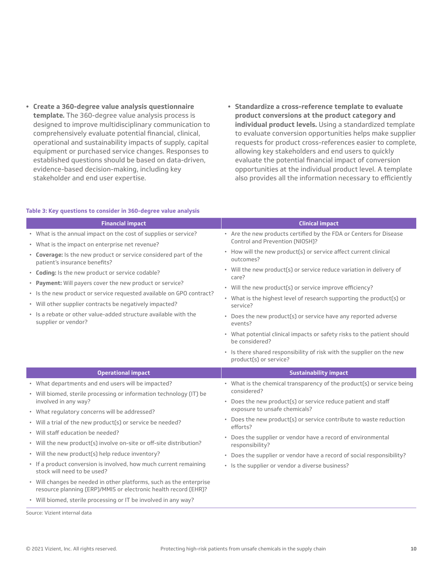- **• Create a 360-degree value analysis questionnaire template.** The 360-degree value analysis process is designed to improve multidisciplinary communication to comprehensively evaluate potential financial, clinical, operational and sustainability impacts of supply, capital equipment or purchased service changes. Responses to established questions should be based on data-driven, evidence-based decision-making, including key stakeholder and end user expertise.
- **• Standardize a cross-reference template to evaluate product conversions at the product category and individual product levels.** Using a standardized template to evaluate conversion opportunities helps make supplier requests for product cross-references easier to complete, allowing key stakeholders and end users to quickly evaluate the potential financial impact of conversion opportunities at the individual product level. A template also provides all the information necessary to efficiently

#### **Table 3: Key questions to consider in 360-degree value analysis**

| <b>Clinical impact</b>                                                                                                                                                                                                                                                                                                                                                                                                                                                                                                                                            |
|-------------------------------------------------------------------------------------------------------------------------------------------------------------------------------------------------------------------------------------------------------------------------------------------------------------------------------------------------------------------------------------------------------------------------------------------------------------------------------------------------------------------------------------------------------------------|
| • Are the new products certified by the FDA or Centers for Disease<br>Control and Prevention (NIOSH)?                                                                                                                                                                                                                                                                                                                                                                                                                                                             |
| • How will the new product(s) or service affect current clinical<br>outcomes?<br>• Will the new product(s) or service reduce variation in delivery of<br>care?<br>· Will the new product(s) or service improve efficiency?<br>• What is the highest level of research supporting the product(s) or<br>service?<br>• Does the new product(s) or service have any reported adverse<br>events?<br>• What potential clinical impacts or safety risks to the patient should<br>he considered?<br>· Is there shared responsibility of risk with the supplier on the new |
| product(s) or service?<br><b>Sustainability impact</b>                                                                                                                                                                                                                                                                                                                                                                                                                                                                                                            |
| • What is the chemical transparency of the product(s) or service being<br>considered?<br>• Does the new product(s) or service reduce patient and staff<br>exposure to unsafe chemicals?<br>• Does the new product(s) or service contribute to waste reduction<br>efforts?<br>• Does the supplier or vendor have a record of environmental<br>responsibility?<br>• Does the supplier or vendor have a record of social responsibility?<br>• Is the supplier or vendor a diverse business?                                                                          |
|                                                                                                                                                                                                                                                                                                                                                                                                                                                                                                                                                                   |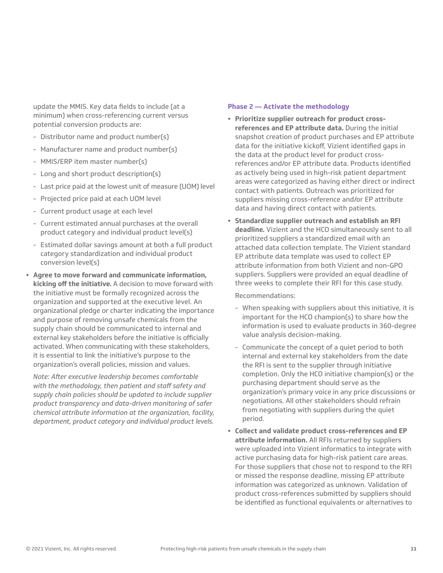update the MMIS. Key data fields to include (at a minimum) when cross-referencing current versus potential conversion products are:

- Distributor name and product number(s)
- Manufacturer name and product number(s)
- MMIS/ERP item master number(s)
- Long and short product description(s)
- Last price paid at the lowest unit of measure (UOM) level
- Projected price paid at each UOM level
- Current product usage at each level
- Current estimated annual purchases at the overall product category and individual product level(s)
- Estimated dollar savings amount at both a full product category standardization and individual product conversion level(s)
- **• Agree to move forward and communicate information, kicking off the initiative.** A decision to move forward with the initiative must be formally recognized across the organization and supported at the executive level. An organizational pledge or charter indicating the importance and purpose of removing unsafe chemicals from the supply chain should be communicated to internal and external key stakeholders before the initiative is officially activated. When communicating with these stakeholders, it is essential to link the initiative's purpose to the organization's overall policies, mission and values.

*Note: After executive leadership becomes comfortable with the methodology, then patient and staff safety and supply chain policies should be updated to include supplier product transparency and data-driven monitoring of safer chemical attribute information at the organization, facility, department, product category and individual product levels.*

#### **Phase 2 — Activate the methodology**

- **• Prioritize supplier outreach for product crossreferences and EP attribute data.** During the initial snapshot creation of product purchases and EP attribute data for the initiative kickoff, Vizient identified gaps in the data at the product level for product crossreferences and/or EP attribute data. Products identified as actively being used in high-risk patient department areas were categorized as having either direct or indirect contact with patients. Outreach was prioritized for suppliers missing cross-reference and/or EP attribute data and having direct contact with patients.
- **• Standardize supplier outreach and establish an RFI deadline.** Vizient and the HCO simultaneously sent to all prioritized suppliers a standardized email with an attached data collection template. The Vizient standard EP attribute data template was used to collect EP attribute information from both Vizient and non-GPO suppliers. Suppliers were provided an equal deadline of three weeks to complete their RFI for this case study.

Recommendations:

- When speaking with suppliers about this initiative, it is important for the HCO champion(s) to share how the information is used to evaluate products in 360-degree value analysis decision-making.
- Communicate the concept of a quiet period to both internal and external key stakeholders from the date the RFI is sent to the supplier through initiative completion. Only the HCO initiative champion(s) or the purchasing department should serve as the organization's primary voice in any price discussions or negotiations. All other stakeholders should refrain from negotiating with suppliers during the quiet period.
- **• Collect and validate product cross-references and EP attribute information.** All RFIs returned by suppliers were uploaded into Vizient informatics to integrate with active purchasing data for high-risk patient care areas. For those suppliers that chose not to respond to the RFI or missed the response deadline, missing EP attribute information was categorized as unknown. Validation of product cross-references submitted by suppliers should be identified as functional equivalents or alternatives to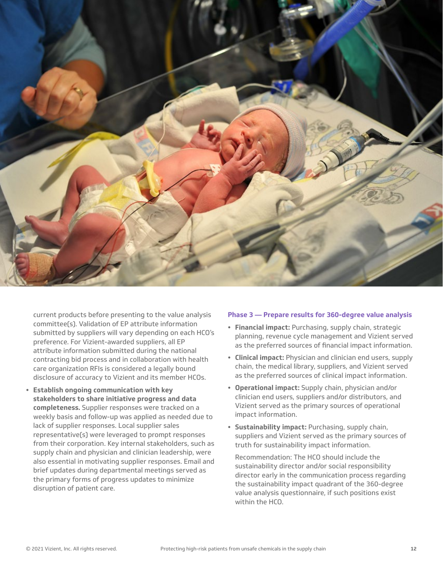

current products before presenting to the value analysis committee(s). Validation of EP attribute information submitted by suppliers will vary depending on each HCO's preference. For Vizient-awarded suppliers, all EP attribute information submitted during the national contracting bid process and in collaboration with health care organization RFIs is considered a legally bound disclosure of accuracy to Vizient and its member HCOs.

**• Establish ongoing communication with key stakeholders to share initiative progress and data completeness.** Supplier responses were tracked on a weekly basis and follow-up was applied as needed due to lack of supplier responses. Local supplier sales representative(s) were leveraged to prompt responses from their corporation. Key internal stakeholders, such as supply chain and physician and clinician leadership, were also essential in motivating supplier responses. Email and brief updates during departmental meetings served as the primary forms of progress updates to minimize disruption of patient care.

#### **Phase 3 — Prepare results for 360-degree value analysis**

- **• Financial impact:** Purchasing, supply chain, strategic planning, revenue cycle management and Vizient served as the preferred sources of financial impact information.
- **• Clinical impact:** Physician and clinician end users, supply chain, the medical library, suppliers, and Vizient served as the preferred sources of clinical impact information.
- **• Operational impact:** Supply chain, physician and/or clinician end users, suppliers and/or distributors, and Vizient served as the primary sources of operational impact information.
- **• Sustainability impact:** Purchasing, supply chain, suppliers and Vizient served as the primary sources of truth for sustainability impact information.

Recommendation: The HCO should include the sustainability director and/or social responsibility director early in the communication process regarding the sustainability impact quadrant of the 360-degree value analysis questionnaire, if such positions exist within the HCO.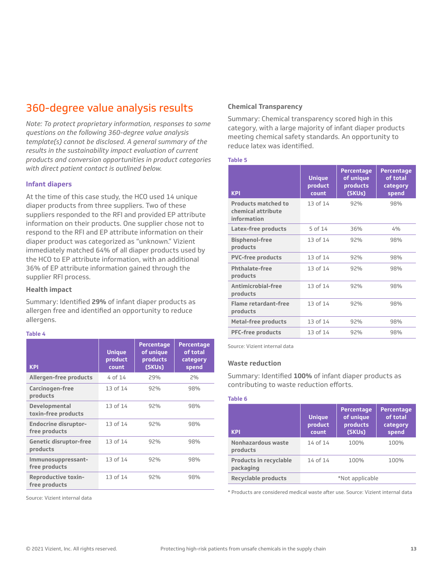## 360-degree value analysis results

*Note: To protect proprietary information, responses to some questions on the following 360-degree value analysis template(s) cannot be disclosed. A general summary of the results in the sustainability impact evaluation of current products and conversion opportunities in product categories with direct patient contact is outlined below.*

#### **Infant diapers**

At the time of this case study, the HCO used 14 unique diaper products from three suppliers. Two of these suppliers responded to the RFI and provided EP attribute information on their products. One supplier chose not to respond to the RFI and EP attribute information on their diaper product was categorized as "unknown." Vizient immediately matched 64% of all diaper products used by the HCO to EP attribute information, with an additional 36% of EP attribute information gained through the supplier RFI process.

#### **Health impact**

Summary: Identified **29%** of infant diaper products as allergen free and identified an opportunity to reduce allergens.

#### **Table 4**

| Allergen-free products<br>4 of 14<br>29%<br>2%<br>13 of 14<br>Carcinogen-free<br>92%<br>98%<br>products<br>13 of 14<br>Developmental<br>92%<br>98%<br>toxin-free products<br><b>Endocrine disruptor-</b><br>13 of 14<br>92%<br>98%<br>free products<br>13 of 14<br><b>Genetic disruptor-free</b><br>92%<br>98%<br>products<br>13 of 14<br>92%<br>98%<br>Immunosuppressant-<br>free products<br>13 of 14<br><b>Reproductive toxin-</b><br>92%<br>98%<br>free products | <b>KPI</b> | <b>Unique</b><br>product<br>count | <b>Percentage</b><br>of unique<br>products<br>(SKUs) | <b>Percentage</b><br>of total<br>category<br>spend |
|----------------------------------------------------------------------------------------------------------------------------------------------------------------------------------------------------------------------------------------------------------------------------------------------------------------------------------------------------------------------------------------------------------------------------------------------------------------------|------------|-----------------------------------|------------------------------------------------------|----------------------------------------------------|
|                                                                                                                                                                                                                                                                                                                                                                                                                                                                      |            |                                   |                                                      |                                                    |
|                                                                                                                                                                                                                                                                                                                                                                                                                                                                      |            |                                   |                                                      |                                                    |
|                                                                                                                                                                                                                                                                                                                                                                                                                                                                      |            |                                   |                                                      |                                                    |
|                                                                                                                                                                                                                                                                                                                                                                                                                                                                      |            |                                   |                                                      |                                                    |
|                                                                                                                                                                                                                                                                                                                                                                                                                                                                      |            |                                   |                                                      |                                                    |
|                                                                                                                                                                                                                                                                                                                                                                                                                                                                      |            |                                   |                                                      |                                                    |
|                                                                                                                                                                                                                                                                                                                                                                                                                                                                      |            |                                   |                                                      |                                                    |

Source: Vizient internal data

#### **Chemical Transparency**

Summary: Chemical transparency scored high in this category, with a large majority of infant diaper products meeting chemical safety standards. An opportunity to reduce latex was identified.

#### **Table 5**

| <b>KPI</b>                                                      | <b>Unique</b><br>product<br>count | <b>Percentage</b><br>of unique<br>products<br>(SKUs) | <b>Percentage</b><br>of total<br>category<br>spend |
|-----------------------------------------------------------------|-----------------------------------|------------------------------------------------------|----------------------------------------------------|
| <b>Products matched to</b><br>chemical attribute<br>information | 13 of 14                          | 92%                                                  | 98%                                                |
| Latex-free products                                             | 5 of 14                           | 36%                                                  | 4%                                                 |
| <b>Bisphenol-free</b><br>products                               | 13 of 14                          | 92%                                                  | 98%                                                |
| <b>PVC-free products</b>                                        | 13 of 14                          | 92%                                                  | 98%                                                |
| <b>Phthalate-free</b><br>products                               | 13 of 14                          | 92%                                                  | 98%                                                |
| Antimicrobial-free<br>products                                  | 13 of 14                          | 92%                                                  | 98%                                                |
| <b>Flame retardant-free</b><br>products                         | 13 of 14                          | 92%                                                  | 98%                                                |
| <b>Metal-free products</b>                                      | 13 of 14                          | 92%                                                  | 98%                                                |
| <b>PFC-free products</b>                                        | 13 of 14                          | 92%                                                  | 98%                                                |

Source: Vizient internal data

#### **Waste reduction**

Summary: Identified **100%** of infant diaper products as contributing to waste reduction efforts.

#### **Table 6**

| <b>KPI</b>                                 | <b>Unique</b><br>product<br>count | <b>Percentage</b><br>of unique<br>products<br>(SKUs) | <b>Percentage</b><br>of total<br>category<br>spend |
|--------------------------------------------|-----------------------------------|------------------------------------------------------|----------------------------------------------------|
| Nonhazardous waste<br>products             | 14 of 14                          | 100%                                                 | 100%                                               |
| <b>Products in recyclable</b><br>packaging | 14 of 14                          | 100%                                                 | 100%                                               |
| <b>Recyclable products</b>                 |                                   | *Not applicable                                      |                                                    |

\* Products are considered medical waste after use. Source: Vizient internal data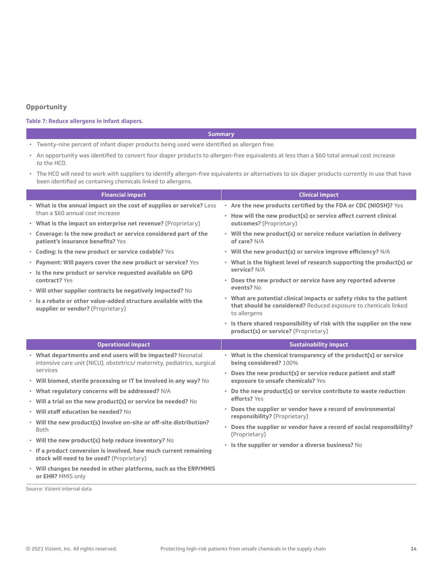#### **Opportunity**

#### **Table 7: Reduce allergens in infant diapers.**

#### **Summary**

- Twenty-nine percent of infant diaper products being used were identified as allergen free.
- An opportunity was identified to convert four diaper products to allergen-free equivalents at less than a \$60 total annual cost increase to the HCO.
- The HCO will need to work with suppliers to identify allergen-free equivalents or alternatives to six diaper products currently in use that have been identified as containing chemicals linked to allergens.

| <b>Financial impact</b>                                                                                                                | <b>Clinical impact</b>                                                                                        |  |
|----------------------------------------------------------------------------------------------------------------------------------------|---------------------------------------------------------------------------------------------------------------|--|
| • What is the annual impact on the cost of supplies or service? Less                                                                   | • Are the new products certified by the FDA or CDC (NIOSH)? Yes                                               |  |
| than a \$60 annual cost increase                                                                                                       | • How will the new product(s) or service affect current clinical                                              |  |
| • What is the impact on enterprise net revenue? (Proprietary)                                                                          | outcomes? (Proprietary)                                                                                       |  |
| • Coverage: Is the new product or service considered part of the<br>patient's insurance benefits? Yes                                  | • Will the new product(s) or service reduce variation in delivery<br>of care? N/A                             |  |
| • Coding: Is the new product or service codable? Yes                                                                                   | • Will the new product(s) or service improve efficiency? N/A                                                  |  |
| • Payment: Will payers cover the new product or service? Yes                                                                           | • What is the highest level of research supporting the product(s) or                                          |  |
| . Is the new product or service requested available on GPO                                                                             | service? N/A                                                                                                  |  |
| contract? Yes                                                                                                                          | • Does the new product or service have any reported adverse<br>events? No                                     |  |
| • Will other supplier contracts be negatively impacted? No                                                                             | • What are potential clinical impacts or safety risks to the patient                                          |  |
| . Is a rebate or other value-added structure available with the<br>supplier or vendor? (Proprietary)                                   | that should be considered? Reduced exposure to chemicals linked<br>to allergens                               |  |
|                                                                                                                                        | · Is there shared responsibility of risk with the supplier on the new<br>product(s) or service? (Proprietary) |  |
|                                                                                                                                        |                                                                                                               |  |
| <b>Operational impact</b>                                                                                                              | <b>Sustainability impact</b>                                                                                  |  |
| • What departments and end users will be impacted? Neonatal<br>intensive care unit (NICU), obstetrics/ maternity, pediatrics, surgical | • What is the chemical transparency of the product(s) or service<br>being considered? 100%                    |  |
| services                                                                                                                               | • Does the new product(s) or service reduce patient and staff                                                 |  |
| • Will biomed, sterile processing or IT be involved in any way? No                                                                     | exposure to unsafe chemicals? Yes                                                                             |  |
| • What regulatory concerns will be addressed? N/A                                                                                      | • Do the new product(s) or service contribute to waste reduction                                              |  |
| • Will a trial on the new product(s) or service be needed? No                                                                          | efforts? Yes                                                                                                  |  |
| • Will staff education be needed? No                                                                                                   | • Does the supplier or vendor have a record of environmental                                                  |  |
| • Will the new product(s) involve on-site or off-site distribution?<br><b>Both</b>                                                     | responsibility? (Proprietary)<br>• Does the supplier or vendor have a record of social responsibility?        |  |
| • Will the new product(s) help reduce inventory? No                                                                                    | (Proprietary)                                                                                                 |  |
| · If a product conversion is involved, how much current remaining<br>stock will need to be used? (Proprietary)                         | • Is the supplier or vendor a diverse business? No                                                            |  |
| • Will changes be needed in other platforms, such as the ERP/MMIS<br>or EHR? MMIS only                                                 |                                                                                                               |  |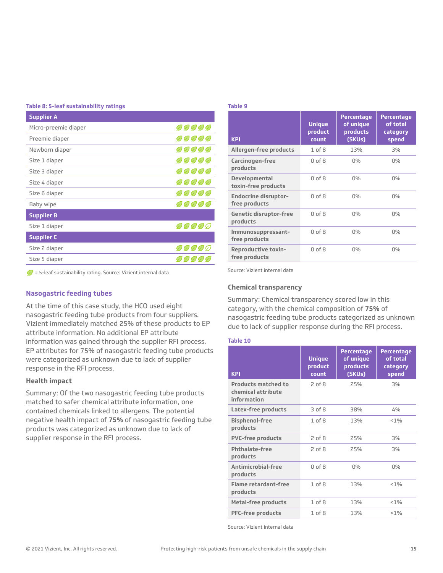#### **Table 8: 5-leaf sustainability ratings**

| <b>Supplier A</b>    |                     |
|----------------------|---------------------|
| Micro-preemie diaper | <i>99999</i>        |
| Preemie diaper       | 99999               |
| Newborn diaper       | 99999               |
| Size 1 diaper        | <i>00000</i>        |
| Size 3 diaper        | 99999               |
| Size 4 diaper        | <i>00000</i>        |
| Size 6 diaper        | <i>00000</i>        |
| Baby wipe            | 99999               |
| <b>Supplier B</b>    |                     |
| Size 1 diaper        | 00000               |
| <b>Supplier C</b>    |                     |
| Size 2 diaper        | <i><b>DODDC</b></i> |
| Size 5 diaper        |                     |

 $\mathcal{D}$  = 5-leaf sustainability rating. Source: Vizient internal data

#### **Nasogastric feeding tubes**

At the time of this case study, the HCO used eight nasogastric feeding tube products from four suppliers. Vizient immediately matched 25% of these products to EP attribute information. No additional EP attribute information was gained through the supplier RFI process. EP attributes for 75% of nasogastric feeding tube products were categorized as unknown due to lack of supplier response in the RFI process.

#### **Health impact**

Summary: Of the two nasogastric feeding tube products matched to safer chemical attribute information, one contained chemicals linked to allergens. The potential negative health impact of **75%** of nasogastric feeding tube products was categorized as unknown due to lack of supplier response in the RFI process.

#### **Table 9**

| <b>KPI</b>                                   | <b>Unique</b><br>product<br>count | <b>Percentage</b><br>of unique<br>products<br>(SKUs) | <b>Percentage</b><br>of total<br>category<br>spend |
|----------------------------------------------|-----------------------------------|------------------------------------------------------|----------------------------------------------------|
| Allergen-free products                       | $1$ of $8$                        | 13%                                                  | 3%                                                 |
| Carcinogen-free<br>products                  | $0$ of $8$                        | $0\%$                                                | $0\%$                                              |
| Developmental<br>toxin-free products         | $0$ of $8$                        | $0\%$                                                | $0\%$                                              |
| <b>Endocrine disruptor-</b><br>free products | $0$ of $8$                        | $0\%$                                                | $0\%$                                              |
| <b>Genetic disruptor-free</b><br>products    | $0$ of $8$                        | $0\%$                                                | $0\%$                                              |
| Immunosuppressant-<br>free products          | $0$ of $8$                        | $0\%$                                                | $0\%$                                              |
| <b>Reproductive toxin-</b><br>free products  | $0$ of $8$                        | $0\%$                                                | $0\%$                                              |

Source: Vizient internal data

#### **Chemical transparency**

Summary: Chemical transparency scored low in this category, with the chemical composition of **75%** of nasogastric feeding tube products categorized as unknown due to lack of supplier response during the RFI process.

#### **Table 10**

| <b>KPI</b>                                                      | <b>Unique</b><br>product<br>count | <b>Percentage</b><br>of unique<br>products<br>(SKUs) | <b>Percentage</b><br>of total<br>category<br>spend |
|-----------------------------------------------------------------|-----------------------------------|------------------------------------------------------|----------------------------------------------------|
| <b>Products matched to</b><br>chemical attribute<br>information | $2$ of $8$                        | 25%                                                  | 3%                                                 |
| Latex-free products                                             | 3 of 8                            | 38%                                                  | 4%                                                 |
| <b>Bisphenol-free</b><br>products                               | $1$ of $8$                        | 13%                                                  | $< 1\%$                                            |
| <b>PVC-free products</b>                                        | $2$ of $8$                        | 25%                                                  | 3%                                                 |
| <b>Phthalate-free</b><br>products                               | $2$ of $8$                        | 25%                                                  | 3%                                                 |
| Antimicrobial-free<br>products                                  | $0$ of $8$                        | $0\%$                                                | 0%                                                 |
| <b>Flame retardant-free</b><br>products                         | $1$ of $8$                        | 13%                                                  | $< 1\%$                                            |
| <b>Metal-free products</b>                                      | $1$ of $8$                        | 13%                                                  | $< 1\%$                                            |
| <b>PFC-free products</b>                                        | $1$ of $8$                        | 13%                                                  | $< 1\%$                                            |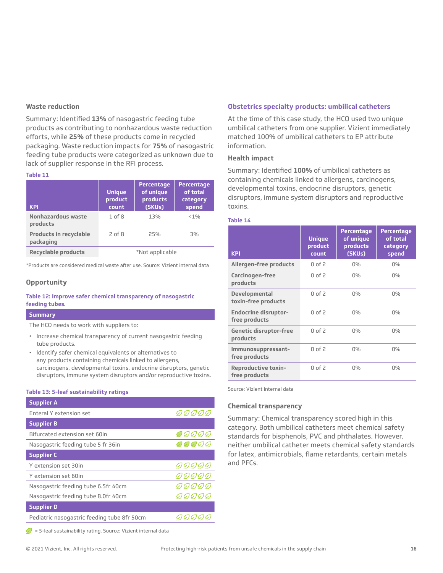#### **Waste reduction**

Summary: Identified **13%** of nasogastric feeding tube products as contributing to nonhazardous waste reduction efforts, while **25%** of these products come in recycled packaging. Waste reduction impacts for **75%** of nasogastric feeding tube products were categorized as unknown due to lack of supplier response in the RFI process.

#### **Table 11**

| <b>KPI</b>                                 | <b>Unique</b><br>product<br>count | <b>Percentage</b><br>of unique<br>products<br>(SKUs) | Percentage<br>of total<br>category<br>spend |
|--------------------------------------------|-----------------------------------|------------------------------------------------------|---------------------------------------------|
| Nonhazardous waste<br>products             | $1$ of $8$                        | 13%                                                  | $< 1\%$                                     |
| <b>Products in recyclable</b><br>packaging | $2$ of $8$                        | 25%                                                  | 3%                                          |
| <b>Recyclable products</b>                 |                                   | *Not applicable                                      |                                             |

\*Products are considered medical waste after use. Source: Vizient internal data

#### **Opportunity**

#### **Table 12: Improve safer chemical transparency of nasogastric feeding tubes.**

#### **Summary**

The HCO needs to work with suppliers to:

- Increase chemical transparency of current nasogastric feeding tube products.
- Identify safer chemical equivalents or alternatives to any products containing chemicals linked to allergens, carcinogens, developmental toxins, endocrine disruptors, genetic disruptors, immune system disruptors and/or reproductive toxins.

#### **Table 13: 5-leaf sustainability ratings**

| <b>Supplier A</b>                           |                     |
|---------------------------------------------|---------------------|
| Enteral Y extension set                     | 00000               |
| <b>Supplier B</b>                           |                     |
| Bifurcated extension set 60in               | 00000               |
| Nasogastric feeding tube 5 fr 36in          | $Q$ $Q$ $Q$ $Q$ $Q$ |
| <b>Supplier C</b>                           |                     |
| Y extension set 30in                        | <i>00000</i>        |
| Y extension set 60in                        | 0) 0) 0) 0) 0)      |
| Nasogastric feeding tube 6.5fr 40cm         | 0)0)0)0)0)          |
| Nasogastric feeding tube 8.0fr 40cm         | 00000               |
| <b>Supplier D</b>                           |                     |
| Pediatric nasogastric feeding tube 8fr 50cm |                     |

disruptors, immune system disruptors and reproductive

information. **Health impact**

#### **Table 14**

toxins.

| <b>KPI</b>                                   | <b>Unique</b><br>product<br>count | <b>Percentage</b><br>of unique<br>products<br>(SKUs) | <b>Percentage</b><br>of total<br>category<br>spend |
|----------------------------------------------|-----------------------------------|------------------------------------------------------|----------------------------------------------------|
| Allergen-free products                       | $0$ of $2$                        | $0\%$                                                | $0\%$                                              |
| Carcinogen-free<br>products                  | $0$ of $2$                        | $0\%$                                                | $0\%$                                              |
| Developmental<br>toxin-free products         | $0$ of $2$                        | $0\%$                                                | $0\%$                                              |
| <b>Endocrine disruptor-</b><br>free products | $0$ of $2$                        | $0\%$                                                | $0\%$                                              |
| <b>Genetic disruptor-free</b><br>products    | $0$ of $2$                        | $0\%$                                                | $0\%$                                              |
| Immunosuppressant-<br>free products          | $0$ of $2$                        | 0%                                                   | $0\%$                                              |
| <b>Reproductive toxin-</b><br>free products  | $0$ of $2$                        | $0\%$                                                | $0\%$                                              |

**Obstetrics specialty products: umbilical catheters** At the time of this case study, the HCO used two unique umbilical catheters from one supplier. Vizient immediately matched 100% of umbilical catheters to EP attribute

Summary: Identified **100%** of umbilical catheters as containing chemicals linked to allergens, carcinogens, developmental toxins, endocrine disruptors, genetic

Source: Vizient internal data

#### **Chemical transparency**

Summary: Chemical transparency scored high in this category. Both umbilical catheters meet chemical safety standards for bisphenols, PVC and phthalates. However, neither umbilical catheter meets chemical safety standards for latex, antimicrobials, flame retardants, certain metals and PFCs.

 $\sqrt{\phantom{a}}$  = 5-leaf sustainability rating. Source: Vizient internal data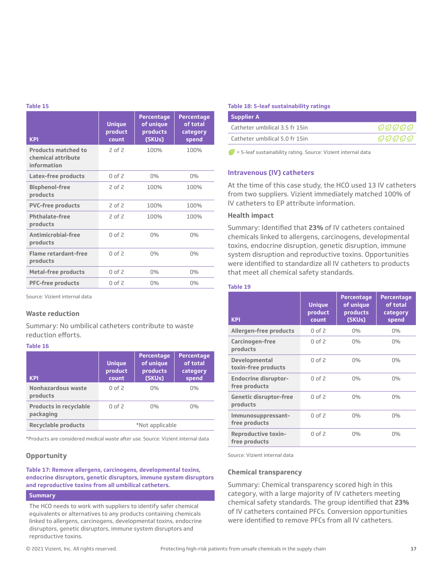#### **Table 15**

| <b>KPI</b>                                                      | <b>Unique</b><br>product<br>count | <b>Percentage</b><br>of unique<br>products<br>(SKUs) | <b>Percentage</b><br>of total<br>category<br>spend |
|-----------------------------------------------------------------|-----------------------------------|------------------------------------------------------|----------------------------------------------------|
| <b>Products matched to</b><br>chemical attribute<br>information | 2 of 2                            | 100%                                                 | 100%                                               |
| Latex-free products                                             | $0$ of $2$                        | 0%                                                   | 0%                                                 |
| <b>Bisphenol-free</b><br>products                               | 2 of 2                            | 100%                                                 | 100%                                               |
| <b>PVC-free products</b>                                        | 2 of 2                            | 100%                                                 | 100%                                               |
| Phthalate-free<br>products                                      | $2$ of $2$                        | 100%                                                 | 100%                                               |
| Antimicrobial-free<br>products                                  | 0 <sub>0</sub> f <sub>2</sub>     | 0%                                                   | 0%                                                 |
| <b>Flame retardant-free</b><br>products                         | $0$ of $2$                        | 0%                                                   | $0\%$                                              |
| <b>Metal-free products</b>                                      | $0$ of $2$                        | 0%                                                   | 0%                                                 |
| <b>PFC-free products</b>                                        | $0$ of 2                          | $0\%$                                                | $0\%$                                              |

Source: Vizient internal data

#### **Waste reduction**

Summary: No umbilical catheters contribute to waste reduction efforts.

#### **Table 16**

| <b>KPI</b>                                 | <b>Unique</b><br>product<br>count | Percentage<br>of unique<br>products<br>(SKUs) | Percentage<br>of total<br>category<br>spend |
|--------------------------------------------|-----------------------------------|-----------------------------------------------|---------------------------------------------|
| Nonhazardous waste<br>products             | $0$ of $2$                        | $0\%$                                         | $0\%$                                       |
| <b>Products in recyclable</b><br>packaging | $0$ of $2$                        | $0\%$                                         | $0\%$                                       |
| <b>Recyclable products</b>                 | *Not applicable                   |                                               |                                             |

\*Products are considered medical waste after use. Source: Vizient internal data

#### **Opportunity**

#### **Table 17: Remove allergens, carcinogens, developmental toxins, endocrine disruptors, genetic disruptors, immune system disruptors and reproductive toxins from all umbilical catheters.**

#### **Summary**

The HCO needs to work with suppliers to identify safer chemical equivalents or alternatives to any products containing chemicals linked to allergens, carcinogens, developmental toxins, endocrine disruptors, genetic disruptors, immune system disruptors and reproductive toxins.

#### **Table 18: 5-leaf sustainability ratings**

| Supplier A                     |       |
|--------------------------------|-------|
| Catheter umbilical 3.5 fr 15in | 00000 |
| Catheter umbilical 5.0 fr 15in | 00000 |

 $\mathcal{D}$  = 5-leaf sustainability rating. Source: Vizient internal data

#### **Intravenous (IV) catheters**

At the time of this case study, the HCO used 13 IV catheters from two suppliers. Vizient immediately matched 100% of IV catheters to EP attribute information.

#### **Health impact**

Summary: Identified that **23%** of IV catheters contained chemicals linked to allergens, carcinogens, developmental toxins, endocrine disruption, genetic disruption, immune system disruption and reproductive toxins. Opportunities were identified to standardize all IV catheters to products that meet all chemical safety standards.

#### **Table 19**

| <b>KPI</b>                                   | <b>Unique</b><br>product<br>count | <b>Percentage</b><br>of unique<br>products<br>(SKUs) | <b>Percentage</b><br>of total<br>category<br>spend |
|----------------------------------------------|-----------------------------------|------------------------------------------------------|----------------------------------------------------|
| Allergen-free products                       | $0$ of $2$                        | $0\%$                                                | $0\%$                                              |
| Carcinogen-free<br>products                  | $0$ of $2$                        | $0\%$                                                | $0\%$                                              |
| Developmental<br>toxin-free products         | $0$ of $2$                        | $0\%$                                                | $0\%$                                              |
| <b>Endocrine disruptor-</b><br>free products | $0$ of $2$                        | $0\%$                                                | $0\%$                                              |
| <b>Genetic disruptor-free</b><br>products    | $0$ of 2                          | $0\%$                                                | $0\%$                                              |
| Immunosuppressant-<br>free products          | $0$ of $2$                        | $0\%$                                                | $0\%$                                              |
| <b>Reproductive toxin-</b><br>free products  | $0$ of $2$                        | $0\%$                                                | 0%                                                 |

Source: Vizient internal data

#### **Chemical transparency**

Summary: Chemical transparency scored high in this category, with a large majority of IV catheters meeting chemical safety standards. The group identified that **23%**  of IV catheters contained PFCs. Conversion opportunities were identified to remove PFCs from all IV catheters.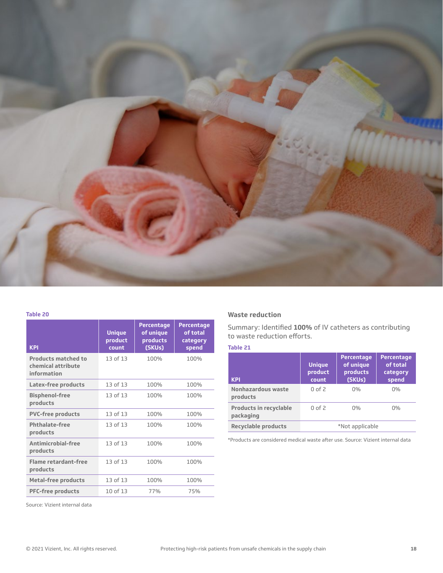

#### **Table 20**

| <b>KPI</b>                                                      | <b>Unique</b><br>product<br>count | <b>Percentage</b><br>of unique<br>products<br>(SKUs) | <b>Percentage</b><br>of total<br>category<br>spend |
|-----------------------------------------------------------------|-----------------------------------|------------------------------------------------------|----------------------------------------------------|
| <b>Products matched to</b><br>chemical attribute<br>information | 13 of 13                          | 100%                                                 | 100%                                               |
| Latex-free products                                             | 13 of 13                          | 100%                                                 | 100%                                               |
| <b>Bisphenol-free</b><br>products                               | 13 of 13                          | 100%                                                 | 100%                                               |
| <b>PVC-free products</b>                                        | 13 of 13                          | 100%                                                 | 100%                                               |
| <b>Phthalate-free</b><br>products                               | 13 of 13                          | 100%                                                 | 100%                                               |
| Antimicrobial-free<br>products                                  | 13 of 13                          | 100%                                                 | 100%                                               |
| Flame retardant-free<br>products                                | 13 of 13                          | 100%                                                 | 100%                                               |
| <b>Metal-free products</b>                                      | 13 of 13                          | 100%                                                 | 100%                                               |
| <b>PFC-free products</b>                                        | 10 of 13                          | 77%                                                  | 75%                                                |

#### **Waste reduction**

Summary: Identified **100%** of IV catheters as contributing to waste reduction efforts.

| ____ |  |  |
|------|--|--|

| <b>KPI</b>                                 | <b>Unique</b><br>product<br>count | <b>Percentage</b><br>of unique<br>products<br>(SKUs) | <b>Percentage</b><br>of total<br>category<br>spend |
|--------------------------------------------|-----------------------------------|------------------------------------------------------|----------------------------------------------------|
| Nonhazardous waste<br>products             | $0$ of $2$                        | $0\%$                                                | $0\%$                                              |
| <b>Products in recyclable</b><br>packaging | $0$ of $2$                        | $0\%$                                                | $0\%$                                              |
| <b>Recyclable products</b>                 |                                   | *Not applicable                                      |                                                    |

\*Products are considered medical waste after use. Source: Vizient internal data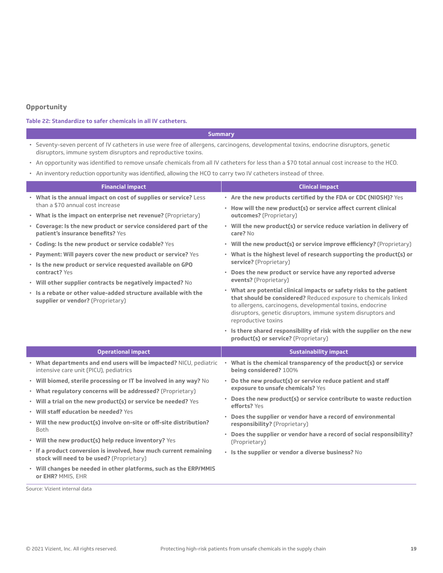#### **Opportunity**

#### **Table 22: Standardize to safer chemicals in all IV catheters.**

#### **Summary**

- Seventy-seven percent of IV catheters in use were free of allergens, carcinogens, developmental toxins, endocrine disruptors, genetic disruptors, immune system disruptors and reproductive toxins.
- An opportunity was identified to remove unsafe chemicals from all IV catheters for less than a \$70 total annual cost increase to the HCO.
- An inventory reduction opportunity was identified, allowing the HCO to carry two IV catheters instead of three.

| <b>Financial impact</b>                                                                                        | <b>Clinical impact</b>                                                                                                                                                                                                                                                                       |
|----------------------------------------------------------------------------------------------------------------|----------------------------------------------------------------------------------------------------------------------------------------------------------------------------------------------------------------------------------------------------------------------------------------------|
| • What is the annual impact on cost of supplies or service? Less                                               | • Are the new products certified by the FDA or CDC (NIOSH)? Yes                                                                                                                                                                                                                              |
| than a \$70 annual cost increase<br>• What is the impact on enterprise net revenue? (Proprietary)              | • How will the new product(s) or service affect current clinical<br>outcomes? (Proprietary)                                                                                                                                                                                                  |
| • Coverage: Is the new product or service considered part of the<br>patient's insurance benefits? Yes          | • Will the new product(s) or service reduce variation in delivery of<br>care? No                                                                                                                                                                                                             |
| • Coding: Is the new product or service codable? Yes                                                           | • Will the new product(s) or service improve efficiency? (Proprietary)                                                                                                                                                                                                                       |
| • Payment: Will payers cover the new product or service? Yes                                                   | • What is the highest level of research supporting the product(s) or                                                                                                                                                                                                                         |
| · Is the new product or service requested available on GPO<br>contract? Yes                                    | service? (Proprietary)<br>• Does the new product or service have any reported adverse<br>events? (Proprietary)                                                                                                                                                                               |
| • Will other supplier contracts be negatively impacted? No                                                     |                                                                                                                                                                                                                                                                                              |
| . Is a rebate or other value-added structure available with the<br>supplier or vendor? (Proprietary)           | • What are potential clinical impacts or safety risks to the patient<br>that should be considered? Reduced exposure to chemicals linked<br>to allergens, carcinogens, developmental toxins, endocrine<br>disruptors, genetic disruptors, immune system disruptors and<br>reproductive toxins |
|                                                                                                                | . Is there shared responsibility of risk with the supplier on the new                                                                                                                                                                                                                        |
|                                                                                                                | product(s) or service? (Proprietary)                                                                                                                                                                                                                                                         |
| <b>Operational impact</b>                                                                                      | <b>Sustainability impact</b>                                                                                                                                                                                                                                                                 |
| • What departments and end users will be impacted? NICU, pediatric<br>intensive care unit (PICU), pediatrics   | • What is the chemical transparency of the product(s) or service<br>being considered? 100%                                                                                                                                                                                                   |
| • Will biomed, sterile processing or IT be involved in any way? No                                             | • Do the new product(s) or service reduce patient and staff                                                                                                                                                                                                                                  |
| • What regulatory concerns will be addressed? (Proprietary)                                                    | exposure to unsafe chemicals? Yes                                                                                                                                                                                                                                                            |
| • Will a trial on the new product(s) or service be needed? Yes                                                 | • Does the new product(s) or service contribute to waste reduction                                                                                                                                                                                                                           |
| • Will staff education be needed? Yes                                                                          | efforts? Yes                                                                                                                                                                                                                                                                                 |
| · Will the new product(s) involve on-site or off-site distribution?<br>Both                                    | • Does the supplier or vendor have a record of environmental<br>responsibility? (Proprietary)                                                                                                                                                                                                |
| • Will the new product(s) help reduce inventory? Yes                                                           | • Does the supplier or vendor have a record of social responsibility?<br>(Proprietary)                                                                                                                                                                                                       |
| · If a product conversion is involved, how much current remaining<br>stock will need to be used? (Proprietary) | • Is the supplier or vendor a diverse business? No                                                                                                                                                                                                                                           |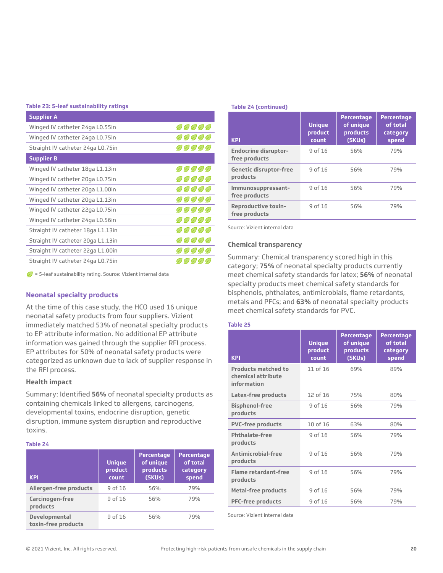#### **Table 23: 5-leaf sustainability ratings**

| <b>Supplier A</b>                 |                     |
|-----------------------------------|---------------------|
| Winged IV catheter 24ga L0.55in   | <i>00000</i>        |
| Winged IV catheter 24ga L0.75in   | <i><b>DOOOC</b></i> |
| Straight IV catheter 24ga L0.75in | <i>00000</i>        |
| <b>Supplier B</b>                 |                     |
| Winged IV catheter 18ga L1.13in   | 00000               |
| Winged IV catheter 20ga L0.75in   | <i>00000</i>        |
| Winged IV catheter 20ga L1.00in   | $O$ $O$ $O$ $O$ $O$ |
| Winged IV catheter 20ga L1.13in   | 00000               |
| Winged IV catheter 22ga L0.75in   | <i>00000</i>        |
| Winged IV catheter 24ga L0.56in   | $O$ O) O) O) O      |
| Straight IV catheter 18ga L1.13in | $O$ $O$ $O$ $O$ $O$ |
| Straight IV catheter 20ga L1.13in | $O$ O O O C         |
| Straight IV catheter 22ga L1.00in | O(O(O) O)           |
| Straight IV catheter 24ga L0.75in | O(O)                |

 $\mathcal{D}$  = 5-leaf sustainability rating. Source: Vizient internal data

#### **Neonatal specialty products**

At the time of this case study, the HCO used 16 unique neonatal safety products from four suppliers. Vizient immediately matched 53% of neonatal specialty products to EP attribute information. No additional EP attribute information was gained through the supplier RFI process. EP attributes for 50% of neonatal safety products were categorized as unknown due to lack of supplier response in the RFI process.

#### **Health impact**

Summary: Identified **56%** of neonatal specialty products as containing chemicals linked to allergens, carcinogens, developmental toxins, endocrine disruption, genetic disruption, immune system disruption and reproductive toxins.

#### **Table 24**

| <b>KPI</b>                           | <b>Unique</b><br>product<br>count | <b>Percentage</b><br>of unique<br>products<br>(SKUs) | <b>Percentage</b><br>of total<br>category<br>spend |
|--------------------------------------|-----------------------------------|------------------------------------------------------|----------------------------------------------------|
| Allergen-free products               | 9 of 16                           | 56%                                                  | 79 <sub>%</sub>                                    |
| Carcinogen-free<br>products          | 9 of 16                           | 56%                                                  | 79%                                                |
| Developmental<br>toxin-free products | 9 of 16                           | 56%                                                  | 79%                                                |

#### **Table 24 (continued)**

| <b>KPI</b>                                   | <b>Unique</b><br>product<br>count | <b>Percentage</b><br>of unique<br>products<br>(SKUs) | <b>Percentage</b><br>of total<br>category<br>spend |
|----------------------------------------------|-----------------------------------|------------------------------------------------------|----------------------------------------------------|
| <b>Endocrine disruptor-</b><br>free products | 9 of 16                           | 56%                                                  | 79%                                                |
| <b>Genetic disruptor-free</b><br>products    | 9 of 16                           | 56%                                                  | 79%                                                |
| Immunosuppressant-<br>free products          | 9 of 16                           | 56%                                                  | 79%                                                |
| <b>Reproductive toxin-</b><br>free products  | 9 of 16                           | 56%                                                  | 79%                                                |

Source: Vizient internal data

#### **Chemical transparency**

Summary: Chemical transparency scored high in this category; **75%** of neonatal specialty products currently meet chemical safety standards for latex; **56%** of neonatal specialty products meet chemical safety standards for bisphenols, phthalates, antimicrobials, flame retardants, metals and PFCs; and **63%** of neonatal specialty products meet chemical safety standards for PVC.

#### **Table 25**

| <b>KPI</b>                                                      | <b>Unique</b><br>product<br>count | <b>Percentage</b><br>of unique<br>products<br>(SKUs) | <b>Percentage</b><br>of total<br>category<br>spend |
|-----------------------------------------------------------------|-----------------------------------|------------------------------------------------------|----------------------------------------------------|
| <b>Products matched to</b><br>chemical attribute<br>information | 11 of 16                          | 69%                                                  | 89%                                                |
| Latex-free products                                             | 12 of 16                          | 75%                                                  | 80%                                                |
| <b>Bisphenol-free</b><br>products                               | 9 of 16                           | 56%                                                  | 79%                                                |
| <b>PVC-free products</b>                                        | 10 of 16                          | 63%                                                  | 80%                                                |
| <b>Phthalate-free</b><br>products                               | 9 of 16                           | 56%                                                  | 79%                                                |
| Antimicrobial-free<br>products                                  | 9 of 16                           | 56%                                                  | 79%                                                |
| <b>Flame retardant-free</b><br>products                         | 9 of 16                           | 56%                                                  | 79%                                                |
| <b>Metal-free products</b>                                      | 9 of 16                           | 56%                                                  | 79%                                                |
| <b>PFC-free products</b>                                        | 9 of 16                           | 56%                                                  | 79%                                                |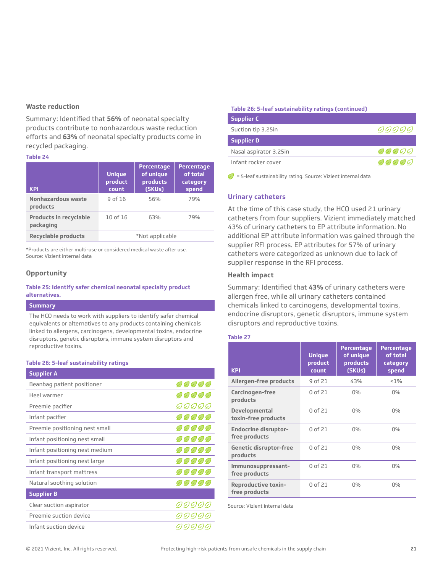#### **Waste reduction**

Summary: Identified that **56%** of neonatal specialty products contribute to nonhazardous waste reduction efforts and **63%** of neonatal specialty products come in recycled packaging.

#### **Table 24**

| <b>KPI</b>                                 | <b>Unique</b><br>product<br>count | Percentage<br>of unique<br>products<br>(SKUs) | <b>Percentage</b><br>of total<br>category<br>spend |
|--------------------------------------------|-----------------------------------|-----------------------------------------------|----------------------------------------------------|
| Nonhazardous waste<br>products             | 9 of 16                           | 56%                                           | 79 <sub>%</sub>                                    |
| <b>Products in recyclable</b><br>packaging | 10 of 16                          | 63%                                           | 79%                                                |
| <b>Recyclable products</b>                 |                                   | *Not applicable                               |                                                    |

\*Products are either multi-use or considered medical waste after use. Source: Vizient internal data

#### **Opportunity**

#### **Table 25: Identify safer chemical neonatal specialty product alternatives.**

#### **Summary**

The HCO needs to work with suppliers to identify safer chemical equivalents or alternatives to any products containing chemicals linked to allergens, carcinogens, developmental toxins, endocrine disruptors, genetic disruptors, immune system disruptors and reproductive toxins.

#### **Table 26: 5-leaf sustainability ratings**

| <b>Supplier A</b>              |                    |
|--------------------------------|--------------------|
| Beanbag patient positioner     | <i>99999</i>       |
| Heel warmer                    | 99999              |
| Preemie pacifier               | <i>99999</i>       |
| Infant pacifier                | <i>00000</i>       |
| Preemie positioning nest small | <i>99999</i>       |
| Infant positioning nest small  | 00000              |
| Infant positioning nest medium | <i>99999</i>       |
| Infant positioning nest large  | <i>99999</i>       |
| Infant transport mattress      | <i>99999</i>       |
| Natural soothing solution      | 00000              |
| <b>Supplier B</b>              |                    |
| Clear suction aspirator        | <i>90000</i>       |
| Preemie suction device         |                    |
| Infant suction device          | <u>() () () ()</u> |
|                                |                    |

#### **Table 26: 5-leaf sustainability ratings (continued)**

| <b>Supplier C</b>      |       |
|------------------------|-------|
| Suction tip 3.25in     | 00000 |
| <b>Supplier D</b>      |       |
| Nasal aspirator 3.25in | 00000 |
| Infant rocker cover    | 00000 |
|                        |       |

 $\bigcirc$  = 5-leaf sustainability rating. Source: Vizient internal data

#### **Urinary catheters**

At the time of this case study, the HCO used 21 urinary catheters from four suppliers. Vizient immediately matched 43% of urinary catheters to EP attribute information. No additional EP attribute information was gained through the supplier RFI process. EP attributes for 57% of urinary catheters were categorized as unknown due to lack of supplier response in the RFI process.

#### **Health impact**

Summary: Identified that **43%** of urinary catheters were allergen free, while all urinary catheters contained chemicals linked to carcinogens, developmental toxins, endocrine disruptors, genetic disruptors, immune system disruptors and reproductive toxins.

#### **Table 27**

| <b>KPI</b>                                   | <b>Unique</b><br>product<br>count | <b>Percentage</b><br>of unique<br>products<br>(SKUs) | <b>Percentage</b><br>of total<br>category<br>spend |
|----------------------------------------------|-----------------------------------|------------------------------------------------------|----------------------------------------------------|
| <b>Allergen-free products</b>                | 9 of 21                           | 43%                                                  | $< 1\%$                                            |
| Carcinogen-free<br>products                  | 0 of 21                           | $0\%$                                                | $0\%$                                              |
| <b>Developmental</b><br>toxin-free products  | 0 of 21                           | $0\%$                                                | $0\%$                                              |
| <b>Endocrine disruptor-</b><br>free products | 0 of 21                           | $0\%$                                                | $0\%$                                              |
| <b>Genetic disruptor-free</b><br>products    | 0 of 21                           | $0\%$                                                | 0%                                                 |
| Immunosuppressant-<br>free products          | 0 of 21                           | $0\%$                                                | 0%                                                 |
| <b>Reproductive toxin-</b><br>free products  | 0 of 21                           | $0\%$                                                | 0%                                                 |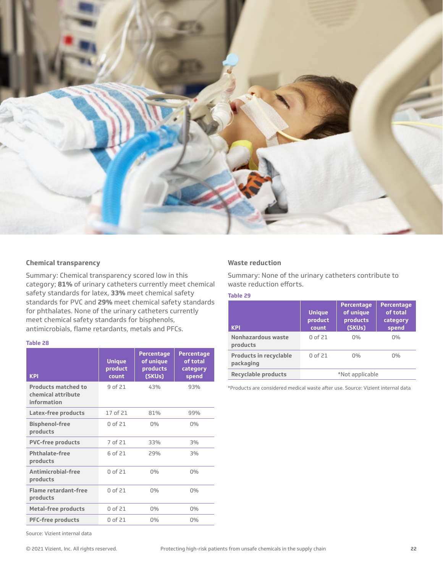

#### **Chemical transparency**

Summary: Chemical transparency scored low in this category; **81%** of urinary catheters currently meet chemical safety standards for latex, **33%** meet chemical safety standards for PVC and **29%** meet chemical safety standards for phthalates. None of the urinary catheters currently meet chemical safety standards for bisphenols, antimicrobials, flame retardants, metals and PFCs.

#### **Table 28**

| <b>KPI</b>                                               | <b>Unique</b><br>product<br>count | <b>Percentage</b><br>of unique<br>products<br>(SKUs) | <b>Percentage</b><br>of total<br>category<br>spend |
|----------------------------------------------------------|-----------------------------------|------------------------------------------------------|----------------------------------------------------|
| Products matched to<br>chemical attribute<br>information | 9 of 21                           | 43%                                                  | 93%                                                |
| Latex-free products                                      | 17 of 21                          | 81%                                                  | 99%                                                |
| <b>Bisphenol-free</b><br>products                        | 0 of 21                           | $0\%$                                                | $0\%$                                              |
| <b>PVC-free products</b>                                 | 7 of 21                           | 33%                                                  | 3%                                                 |
| <b>Phthalate-free</b><br>products                        | 6 of 21                           | 29%                                                  | 3%                                                 |
| Antimicrobial-free<br>products                           | 0 of 21                           | $0\%$                                                | $0\%$                                              |
| <b>Flame retardant-free</b><br>products                  | 0 of 21                           | $0\%$                                                | $0\%$                                              |
| <b>Metal-free products</b>                               | 0 of 21                           | $0\%$                                                | $0\%$                                              |
| <b>PFC-free products</b>                                 | 0 of 21                           | $0\%$                                                | $0\%$                                              |

#### **Waste reduction**

Summary: None of the urinary catheters contribute to waste reduction efforts.

#### **Table 29**

| <b>KPI</b>                                 | <b>Unique</b><br>product<br>count | <b>Percentage</b><br>of unique<br>products<br>(SKUs) | <b>Percentage</b><br>of total<br>category<br>spend |
|--------------------------------------------|-----------------------------------|------------------------------------------------------|----------------------------------------------------|
| Nonhazardous waste<br>products             | 0 of 21                           | $0\%$                                                | $0\%$                                              |
| <b>Products in recyclable</b><br>packaging | 0 of 21                           | $0\%$                                                | $0\%$                                              |
| <b>Recyclable products</b>                 |                                   | *Not applicable                                      |                                                    |

\*Products are considered medical waste after use. Source: Vizient internal data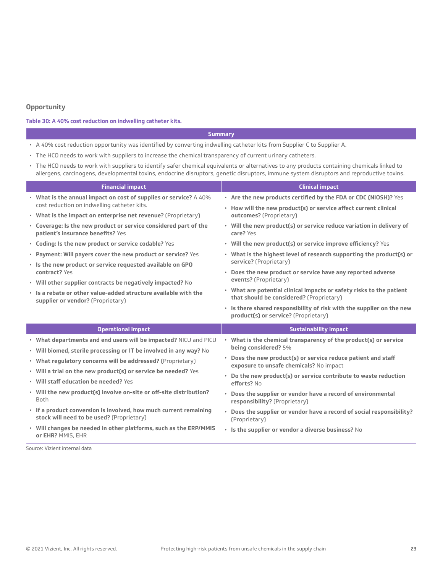#### **Opportunity**

#### **Table 30: A 40% cost reduction on indwelling catheter kits.**

#### **Summary**

- A 40% cost reduction opportunity was identified by converting indwelling catheter kits from Supplier C to Supplier A.
- The HCO needs to work with suppliers to increase the chemical transparency of current urinary catheters.
- The HCO needs to work with suppliers to identify safer chemical equivalents or alternatives to any products containing chemicals linked to allergens, carcinogens, developmental toxins, endocrine disruptors, genetic disruptors, immune system disruptors and reproductive toxins.

| <b>Financial impact</b>                                                                                                                | <b>Clinical impact</b>                                                                                                              |
|----------------------------------------------------------------------------------------------------------------------------------------|-------------------------------------------------------------------------------------------------------------------------------------|
| • What is the annual impact on cost of supplies or service? A 40%<br>cost reduction on indwelling catheter kits.                       | • Are the new products certified by the FDA or CDC (NIOSH)? Yes<br>• How will the new product(s) or service affect current clinical |
| • What is the impact on enterprise net revenue? (Proprietary)                                                                          | outcomes? (Proprietary)                                                                                                             |
| • Coverage: Is the new product or service considered part of the<br>patient's insurance benefits? Yes                                  | • Will the new product(s) or service reduce variation in delivery of<br>care? Yes                                                   |
| • Coding: Is the new product or service codable? Yes                                                                                   | . Will the new product(s) or service improve efficiency? Yes                                                                        |
| • Payment: Will payers cover the new product or service? Yes                                                                           | • What is the highest level of research supporting the product(s) or                                                                |
| . Is the new product or service requested available on GPO<br>contract? Yes                                                            | service? (Proprietary)<br>• Does the new product or service have any reported adverse                                               |
| • Will other supplier contracts be negatively impacted? No                                                                             | events? (Proprietary)                                                                                                               |
| . Is a rebate or other value-added structure available with the<br>supplier or vendor? (Proprietary)                                   | • What are potential clinical impacts or safety risks to the patient<br>that should be considered? (Proprietary)                    |
|                                                                                                                                        | · Is there shared responsibility of risk with the supplier on the new<br>product(s) or service? (Proprietary)                       |
| <b>Operational impact</b>                                                                                                              | <b>Sustainability impact</b>                                                                                                        |
| . What departments and end users will be impacted? NICU and PICU<br>• Will biomed, sterile processing or IT be involved in any way? No | • What is the chemical transparency of the product(s) or service<br>being considered? 5%                                            |
| • What regulatory concerns will be addressed? (Proprietary)                                                                            | • Does the new product(s) or service reduce patient and staff<br>exposure to unsafe chemicals? No impact                            |
| • Will a trial on the new product(s) or service be needed? Yes                                                                         | • Do the new product(s) or service contribute to waste reduction                                                                    |
| • Will staff education be needed? Yes                                                                                                  | efforts? No                                                                                                                         |
| . Will the new product(s) involve on-site or off-site distribution?<br><b>Both</b>                                                     | • Does the supplier or vendor have a record of environmental<br>responsibility? (Proprietary)                                       |
| · If a product conversion is involved, how much current remaining<br>stock will need to be used? (Proprietary)                         | • Does the supplier or vendor have a record of social responsibility?<br>(Proprietary)                                              |
| • Will changes be needed in other platforms, such as the ERP/MMIS<br>or EHR? MMIS, EHR                                                 | • Is the supplier or vendor a diverse business? No                                                                                  |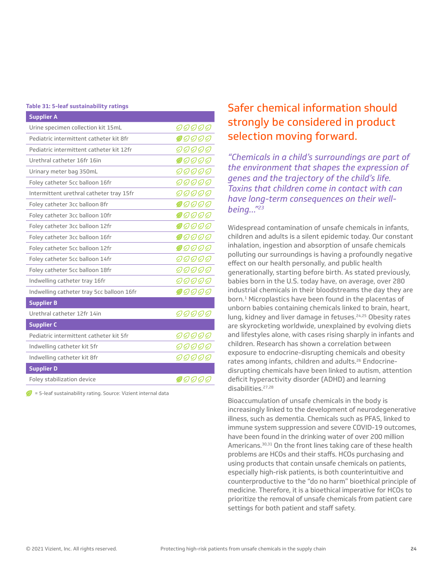#### **Table 31: 5-leaf sustainability ratings**

| <b>Supplier A</b>                         |              |
|-------------------------------------------|--------------|
| Urine specimen collection kit 15mL        | <i>90000</i> |
| Pediatric intermittent catheter kit 8fr   | <i>90000</i> |
| Pediatric intermittent catheter kit 12fr  | 99999        |
| Urethral catheter 16fr 16in               | <i>90000</i> |
| Urinary meter bag 350mL                   | <i>90000</i> |
| Foley catheter 5cc balloon 16fr           | <i>99999</i> |
| Intermittent urethral catheter tray 15fr  | <i>99999</i> |
| Foley catheter 3cc balloon 8fr            | <i>00000</i> |
| Foley catheter 3cc balloon 10fr           | <i>90000</i> |
| Foley catheter 3cc balloon 12fr           | 00000        |
| Foley catheter 3cc balloon 16fr           | 90000        |
| Foley catheter 5cc balloon 12fr           | <i>00000</i> |
| Foley catheter 5cc balloon 14fr           | <i>99999</i> |
| Foley catheter 5cc balloon 18fr           | <i>90000</i> |
| Indwelling catheter tray 16fr             | <i>99999</i> |
| Indwelling catheter tray 5cc balloon 16fr | 00000        |
| <b>Supplier B</b>                         |              |
| Urethral catheter 12fr 14in               | <i>99999</i> |
| <b>Supplier C</b>                         |              |
| Pediatric intermittent catheter kit 5fr   | <i>99999</i> |
| Indwelling catheter kit 5fr               | 99999        |
| Indwelling catheter kit 8fr               | <i>99999</i> |
| <b>Supplier D</b>                         |              |
| Foley stabilization device                | 00000        |

 $\sqrt{\phantom{a}}$  = 5-leaf sustainability rating. Source: Vizient internal data

## Safer chemical information should strongly be considered in product selection moving forward.

*"Chemicals in a child's surroundings are part of the environment that shapes the expression of genes and the trajectory of the child's life. Toxins that children come in contact with can have long-term consequences on their wellbeing…"23*

Widespread contamination of unsafe chemicals in infants, children and adults is a silent epidemic today. Our constant inhalation, ingestion and absorption of unsafe chemicals polluting our surroundings is having a profoundly negative effect on our health personally, and public health generationally, starting before birth. As stated previously, babies born in the U.S. today have, on average, over 280 industrial chemicals in their bloodstreams the day they are born.<sup>1</sup> Microplastics have been found in the placentas of unborn babies containing chemicals linked to brain, heart, lung, kidney and liver damage in fetuses.<sup>24,25</sup> Obesity rates are skyrocketing worldwide, unexplained by evolving diets and lifestyles alone, with cases rising sharply in infants and children. Research has shown a correlation between exposure to endocrine-disrupting chemicals and obesity rates among infants, children and adults.<sup>26</sup> Endocrinedisrupting chemicals have been linked to autism, attention deficit hyperactivity disorder (ADHD) and learning disabilities.27,28

Bioaccumulation of unsafe chemicals in the body is increasingly linked to the development of neurodegenerative illness, such as dementia. Chemicals such as PFAS, linked to immune system suppression and severe COVID-19 outcomes, have been found in the drinking water of over 200 million Americans.<sup>30,31</sup> On the front lines taking care of these health problems are HCOs and their staffs. HCOs purchasing and using products that contain unsafe chemicals on patients, especially high-risk patients, is both counterintuitive and counterproductive to the "do no harm" bioethical principle of medicine. Therefore, it is a bioethical imperative for HCOs to prioritize the removal of unsafe chemicals from patient care settings for both patient and staff safety.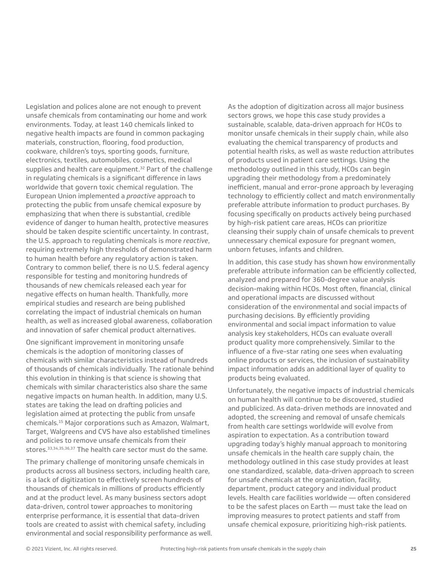Legislation and polices alone are not enough to prevent unsafe chemicals from contaminating our home and work environments. Today, at least 140 chemicals linked to negative health impacts are found in common packaging materials, construction, flooring, food production, cookware, children's toys, sporting goods, furniture, electronics, textiles, automobiles, cosmetics, medical supplies and health care equipment.<sup>32</sup> Part of the challenge in regulating chemicals is a significant difference in laws worldwide that govern toxic chemical regulation. The European Union implemented a *proactive* approach to protecting the public from unsafe chemical exposure by emphasizing that when there is substantial, credible evidence of danger to human health, protective measures should be taken despite scientific uncertainty. In contrast, the U.S. approach to regulating chemicals is more *reactive*, requiring extremely high thresholds of demonstrated harm to human health before any regulatory action is taken. Contrary to common belief, there is no U.S. federal agency responsible for testing and monitoring hundreds of thousands of new chemicals released each year for negative effects on human health. Thankfully, more empirical studies and research are being published correlating the impact of industrial chemicals on human health, as well as increased global awareness, collaboration and innovation of safer chemical product alternatives.

One significant improvement in monitoring unsafe chemicals is the adoption of monitoring classes of chemicals with similar characteristics instead of hundreds of thousands of chemicals individually. The rationale behind this evolution in thinking is that science is showing that chemicals with similar characteristics also share the same negative impacts on human health. In addition, many U.S. states are taking the lead on drafting policies and legislation aimed at protecting the public from unsafe chemicals.15 Major corporations such as Amazon, Walmart, Target, Walgreens and CVS have also established timelines and policies to remove unsafe chemicals from their stores.33,34,35,36,37 The health care sector must do the same.

The primary challenge of monitoring unsafe chemicals in products across all business sectors, including health care, is a lack of digitization to effectively screen hundreds of thousands of chemicals in millions of products efficiently and at the product level. As many business sectors adopt data-driven, control tower approaches to monitoring enterprise performance, it is essential that data-driven tools are created to assist with chemical safety, including environmental and social responsibility performance as well. As the adoption of digitization across all major business sectors grows, we hope this case study provides a sustainable, scalable, data-driven approach for HCOs to monitor unsafe chemicals in their supply chain, while also evaluating the chemical transparency of products and potential health risks, as well as waste reduction attributes of products used in patient care settings. Using the methodology outlined in this study, HCOs can begin upgrading their methodology from a predominately inefficient, manual and error-prone approach by leveraging technology to efficiently collect and match environmentally preferable attribute information to product purchases. By focusing specifically on products actively being purchased by high-risk patient care areas, HCOs can prioritize cleansing their supply chain of unsafe chemicals to prevent unnecessary chemical exposure for pregnant women, unborn fetuses, infants and children.

In addition, this case study has shown how environmentally preferable attribute information can be efficiently collected, analyzed and prepared for 360-degree value analysis decision-making within HCOs. Most often, financial, clinical and operational impacts are discussed without consideration of the environmental and social impacts of purchasing decisions. By efficiently providing environmental and social impact information to value analysis key stakeholders, HCOs can evaluate overall product quality more comprehensively. Similar to the influence of a five-star rating one sees when evaluating online products or services, the inclusion of sustainability impact information adds an additional layer of quality to products being evaluated.

Unfortunately, the negative impacts of industrial chemicals on human health will continue to be discovered, studied and publicized. As data-driven methods are innovated and adopted, the screening and removal of unsafe chemicals from health care settings worldwide will evolve from aspiration to expectation. As a contribution toward upgrading today's highly manual approach to monitoring unsafe chemicals in the health care supply chain, the methodology outlined in this case study provides at least one standardized, scalable, data-driven approach to screen for unsafe chemicals at the organization, facility, department, product category and individual product levels. Health care facilities worldwide — often considered to be the safest places on Earth — must take the lead on improving measures to protect patients and staff from unsafe chemical exposure, prioritizing high-risk patients.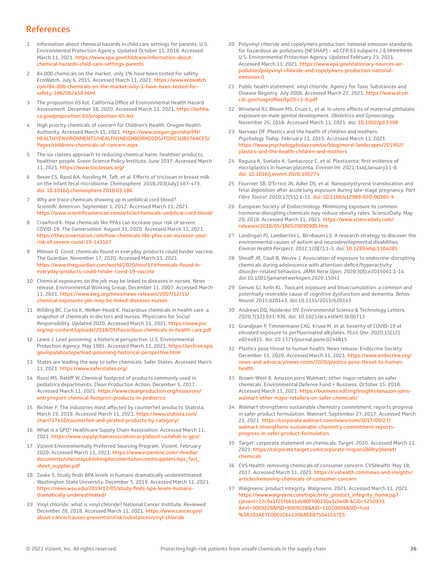### References

- 1 Information about chemical hazards in child care settings for parents. U.S. Environmental Protection Agency. Updated October 11, 2018. Accessed March 11, 2021. [https://www.epa.gov/childcare/information-about](https://www.epa.gov/childcare/information-about-chemical-hazards-child-care-settings-parents)[chemical-hazards-child-care-settings-parents](https://www.epa.gov/childcare/information-about-chemical-hazards-child-care-settings-parents)
- 2 84,000 chemicals on the market, only 1% have been tested for safety. EcoWatch. July 6, 2015. Accessed March 11, 2021. [https://www.ecowatch.](https://www.ecowatch.com/84-000-chemicals-on-the-market-only-1-have-been-tested-for-safety-1882062458.html) [com/84-000-chemicals-on-the-market-only-1-have-been-tested-for](https://www.ecowatch.com/84-000-chemicals-on-the-market-only-1-have-been-tested-for-safety-1882062458.html)[safety-1882062458.html](https://www.ecowatch.com/84-000-chemicals-on-the-market-only-1-have-been-tested-for-safety-1882062458.html)
- 3 The proposition 65 list. California Office of Environmental Health Hazard Assessment. December 18, 2020. Accessed March 11, 2021. [https://oehha.](https://oehha.ca.gov/proposition-65/proposition-65-list) [ca.gov/proposition-65/proposition-65-list](https://oehha.ca.gov/proposition-65/proposition-65-list)
- 4 High priority chemicals of concern for Children's Health. Oregon Health Authority. Accessed March 11, 2021. [https://www.oregon.gov/oha/PH/](https://www.oregon.gov/oha/PH/HEALTHYENVIRONMENTS/HEALTHYNEIGHBORHOODS/TOXICSUBSTANCES/Pages/childrens-chemicals-of-concern.aspx) [HEALTHYENVIRONMENTS/HEALTHYNEIGHBORHOODS/TOXICSUBSTANCES/](https://www.oregon.gov/oha/PH/HEALTHYENVIRONMENTS/HEALTHYNEIGHBORHOODS/TOXICSUBSTANCES/Pages/childrens-chemicals-of-concern.aspx) [Pages/childrens-chemicals-of-concern.aspx](https://www.oregon.gov/oha/PH/HEALTHYENVIRONMENTS/HEALTHYNEIGHBORHOODS/TOXICSUBSTANCES/Pages/childrens-chemicals-of-concern.aspx)
- 5 The six classes approach to reducing chemical harm: healthier products, healthier people. Green Science Policy Institute. June 2017. Accessed March 11, 2021. <https://www.sixclasses.org/>
- 6 Bever CS, Rand AA, Nording M, Taft, et al. Effects of triclosan in breast milk on the infant fecal microbiome. *Chemosphere*. 2018;203(July):467-473. [doi: 10.1016/j.chemosphere.2018.03.186](https://doi.org/10.1016/j.chemosphere.2018.03.186)
- 7 Why are trace chemicals showing up in umbilical cord blood? *Scientific American*. September 1, 2012. Accessed March 11, 2021. <https://www.scientificamerican.com/article/chemicals-umbilical-cord-blood/>
- 8 Crawford K. How chemicals like PFAs can increase your risk of severe COVID-19. *The Conversation*. August 31, 2020. Accessed March 11, 2021. [https://theconversation.com/how-chemicals-like-pfas-can-increase-your](https://theconversation.com/how-chemicals-like-pfas-can-increase-your-risk-of-severe-covid-19-143167)[risk-of-severe-covid-19-143167](https://theconversation.com/how-chemicals-like-pfas-can-increase-your-risk-of-severe-covid-19-143167)
- 9 Milman O. Covid: chemicals found in everyday products could hinder vaccine. The Guardian. November 17, 2020. Accessed March 11, 2021. [https://www.theguardian.com/world/2020/nov/17/chemicals-found-in](https://www.theguardian.com/world/2020/nov/17/chemicals-found-in-everyday-products-could-hinder-covid-19-vaccine)[everyday-products-could-hinder-covid-19-vaccine](https://www.theguardian.com/world/2020/nov/17/chemicals-found-in-everyday-products-could-hinder-covid-19-vaccine)
- 10 Chemical exposures on the job may be linked to diseases in nurses. News release. Environmental Working Group; December 11, 2007. Accessed March 11, 2021. [https://www.ewg.org/news/news-releases/2007/12/11/](https://www.ewg.org/news/news-releases/2007/12/11/chemical-exposures-job-may-be-linked-diseases-nurses) [chemical-exposures-job-may-be-linked-diseases-nurses](https://www.ewg.org/news/news-releases/2007/12/11/chemical-exposures-job-may-be-linked-diseases-nurses)
- 11 Wilding BC, Curtis K, Welker-Hood K. Hazardous chemicals in health care: a snapshot of chemicals in doctors and nurses. Physicians for Social Responsibility. Updated 2020. Accessed March 11, 2021. [https://www.psr.](https://www.psr.org/wp-content/uploads/2018/05/hazardous-chemicals-in-health-care.pdf) [org/wp-content/uploads/2018/05/hazardous-chemicals-in-health-care.pdf](https://www.psr.org/wp-content/uploads/2018/05/hazardous-chemicals-in-health-care.pdf)
- 12 Lewis J. Lead poisoning: a historical perspective. U.S. Environmental Protection Agency. May 1985. Accessed March 11, 2021. [https://archive.epa.](https://archive.epa.gov/epa/aboutepa/lead-poisoning-historical-perspective.html) [gov/epa/aboutepa/lead-poisoning-historical-perspective.html](https://archive.epa.gov/epa/aboutepa/lead-poisoning-historical-perspective.html)
- 13 States are leading the way to safer chemicals. Safer States. Accessed March 11, 2021. <https://www.saferstates.org/>
- 14 Rossi MS, Ratliff W. Chemical footprint of products commonly used in pediatrics departments. Clean Production Action. December 5, 2017. Accessed March 11, 2021. [https://www.cleanproduction.org/resources/](https://www.cleanproduction.org/resources/entry/report-chemical-footprint-products-in-pediatrics) [entry/report-chemical-footprint-products-in-pediatrics](https://www.cleanproduction.org/resources/entry/report-chemical-footprint-products-in-pediatrics)
- 15 Richter F. The industries most affected by counterfeit products. Statista. March 19, 2019. Accessed March 11, 2021. [https://www.statista.com/](https://www.statista.com/chart/17410/counterfeit-and-pirated-products-by-category/) [chart/17410/counterfeit-and-pirated-products-by-category/](https://www.statista.com/chart/17410/counterfeit-and-pirated-products-by-category/)
- 16 What is a GPO? Healthcare Supply Chain Association. Accessed March 11, 2021.<https://www.supplychainassociation.org/about-us/what-is-gpo/>
- 17 Vizient Environmentally Preferred Sourcing Program. Vizient. February 2020. Accessed March 11, 2021. [https://www.vizientinc.com/-/media/](https://www.vizientinc.com/-/media/documents/sitecorepublishingdocuments/secured/suppliers/eps_fact_sheet_supplier.pdf) [documents/sitecorepublishingdocuments/secured/suppliers/eps\\_fact\\_](https://www.vizientinc.com/-/media/documents/sitecorepublishingdocuments/secured/suppliers/eps_fact_sheet_supplier.pdf) [sheet\\_supplier.pdf](https://www.vizientinc.com/-/media/documents/sitecorepublishingdocuments/secured/suppliers/eps_fact_sheet_supplier.pdf)
- 18 Zaske S. Study finds BPA levels in humans dramatically underestimated. Washington State University. December 5, 2019. Accessed March 11, 2021. [https://news.wsu.edu/2019/12/05/study-finds-bpa-levels-humans](https://news.wsu.edu/2019/12/05/study-finds-bpa-levels-humans-dramatically-underestimated/)[dramatically-underestimated/](https://news.wsu.edu/2019/12/05/study-finds-bpa-levels-humans-dramatically-underestimated/)
- 19 Vinyl chloride: what is vinyl chloride? National Cancer Institute. Reviewed December 28, 2018. Accessed March 11, 2021. [https://www.cancer.gov/](https://www.cancer.gov/about-cancer/causes-prevention/risk/substances/vinyl-chloride) [about-cancer/causes-prevention/risk/substances/vinyl-chloride](https://www.cancer.gov/about-cancer/causes-prevention/risk/substances/vinyl-chloride)
- 20 Polyvinyl chloride and copolymers production: national emission standards for hazardous air pollutants (NESHAP) – 40 CFR 63 subparts J & HHHHHHH. U.S. Environmental Protection Agency. Updated February 23, 2021. Accessed March 11, 2021. [https://www.epa.gov/stationary-sources-air](https://www.epa.gov/stationary-sources-air-pollution/polyvinyl-chloride-and-copolymers-production-national-emission-0)[pollution/polyvinyl-chloride-and-copolymers-production-national](https://www.epa.gov/stationary-sources-air-pollution/polyvinyl-chloride-and-copolymers-production-national-emission-0)[emission-0](https://www.epa.gov/stationary-sources-air-pollution/polyvinyl-chloride-and-copolymers-production-national-emission-0)
- 21 Public health statement: vinyl chloride. Agency for Toxic Substances and Disease Registry. July 2006. Accessed March 22, 2021. [https://www.atsdr.](https://www.atsdr.cdc.gov/toxprofiles/tp20-c1-b.pdf) [cdc.gov/toxprofiles/tp20-c1-b.pdf](https://www.atsdr.cdc.gov/toxprofiles/tp20-c1-b.pdf)
- 22 Wineland RJ, Bloom MS, Cruze L, et al. In utero effects of maternal phthalate exposure on male genital development. *Obstetrics and Gynaecology*. November 26, 2018. Accessed March 11, 2021. doi: [10.1002/pd.5398](https://doi.org/10.1002/pd.5398)
- 23 Narvaez DF. Plastics and the health of children and mothers. *Psychology Today*. February 11, 2019. Accessed March 11, 2021. [https://www.psychologytoday.com/us/blog/moral-landscapes/201902/](https://www.psychologytoday.com/us/blog/moral-landscapes/201902/plastics-and-the-health-children-and-mothers) [plastics-and-the-health-children-and-mothers](https://www.psychologytoday.com/us/blog/moral-landscapes/201902/plastics-and-the-health-children-and-mothers)
- 24 Ragusa A, Svelato A, Santacroce C, et al. Plasticenta: first evidence of microplastics in human placenta. *Environ Int*. 2021;146(January):1-8. [doi: 10.1016/j.envint.2020.106274](https://doi.org/10.1016/j.envint.2020.106274)
- 25 Fournier SB, D'Errico JN, Adler DS, et al. Nanopolystyrene translocation and fetal deposition after acute lung exposure during late-stage pregnancy. *Part Fibre Toxicol*. 2020;17(55):1-11. [doi: 10.1186/s12989-020-00385-9](https://dx.doi.org/10.1186%2Fs12989-020-00385-9)
- 26 European Society of Endocrinology. Minimizing exposure to common hormone-disrupting chemicals may reduce obesity rates. ScienceDaily. May 20, 2018. Accessed March 11, 2021. [https://www.sciencedaily.com/](https://www.sciencedaily.com/releases/2018/05/180520090900.htm) [releases/2018/05/180520090900.htm](https://www.sciencedaily.com/releases/2018/05/180520090900.htm)
- 27 Landrigan PJ, Lambertini L, Birnbaum LS. A research strategy to discover the environmental causes of autism and neurodevelopmental disabilities. *Environ Health Perspect*. 2012;120(7):1-3. doi: [10.1289/ehp.1104285](https://doi.org/10.1289/ehp.1104285)
- 28 Shoaff JR, Coull B, Weuve J. Association of exposure to endocrine-disrupting chemicals during adolescence with attention-deficit/hyperactivity disorder-related behaviors. *JAMA Netw Open*. 2020;3(8):e2015041:1-14. doi:10.1001/jamanetworkopen.2020.15041
- 29 Genuis SJ, Kelln KL. Toxicant exposure and bioaccumulation: a common and potentially reversible cause of cognitive dysfunction and dementia. *Behav Neurol*. 2015;620143. doi:10.1155/2015/620143
- 30 Andrews DQ, Naidenko OV. Environmental Science & Technology Letters. 2020;7(12):931-936. doi: 10.1021/acs.estlett.0c00713
- 31 Grandjean P, Timmermann CAG, Kruse M, et al. Severity of COVID-19 at elevated exposure to perfluorinated alkylates. *PLoS One*. 2020;15(12) e0244815. doi: 10.1371/journal.pone.0244815
- 32 Plastics pose threat to human health. News release. Endocrine Society; December 15, 2020. Accessed March 11, 2021. [https://www.endocrine.org/](https://www.endocrine.org/news-and-advocacy/news-room/2020/plastics-pose-threat-to-human-health) [news-and-advocacy/news-room/2020/plastics-pose-threat-to-human](https://www.endocrine.org/news-and-advocacy/news-room/2020/plastics-pose-threat-to-human-health)[health](https://www.endocrine.org/news-and-advocacy/news-room/2020/plastics-pose-threat-to-human-health)
- 33 Brown-West B. Amazon joins Walmart, other major retailers on safer chemicals. Environmental Defense Fund + Business. October 15, 2018. Accessed March 11, 2021. [https://business.edf.org/insights/amazon-joins](https://business.edf.org/insights/amazon-joins-walmart-other-major-retailers-on-safer-chemicals/)[walmart-other-major-retailers-on-safer-chemicals/](https://business.edf.org/insights/amazon-joins-walmart-other-major-retailers-on-safer-chemicals/)
- 34 Walmart strengthens sustainable chemistry commitment, reports progress in safer product formulation. Walmart. September 27, 2017. Accessed March 22, 2021. [https://corporate.walmart.com/newsroom/2017/09/27/](https://corporate.walmart.com/newsroom/2017/09/27/walmart-strengthens-sustainable-chemistry-commitment-reports-progress-in-safer-product-formulation) [walmart-strengthens-sustainable-chemistry-commitment-reports](https://corporate.walmart.com/newsroom/2017/09/27/walmart-strengthens-sustainable-chemistry-commitment-reports-progress-in-safer-product-formulation)[progress-in-safer-product-formulation](https://corporate.walmart.com/newsroom/2017/09/27/walmart-strengthens-sustainable-chemistry-commitment-reports-progress-in-safer-product-formulation)
- 35 Target: corporate statement on chemicals. Target. 2020. Accessed March 11, 2021. [https://corporate.target.com/corporate-responsibility/planet/](https://corporate.target.com/corporate-responsibility/planet/chemicals) [chemicals](https://corporate.target.com/corporate-responsibility/planet/chemicals)
- 36 CVS Health: removing chemicals of consumer concern. CVSHealth. May 18, 2017. Accessed March 11, 2021. [https://cvshealth.com/news-and-insights/](https://cvshealth.com/news-and-insights/articles/removing-chemicals-of-consumer-concern) [articles/removing-chemicals-of-consumer-concern](https://cvshealth.com/news-and-insights/articles/removing-chemicals-of-consumer-concern)
- 37 Walgreens: product integrity. Walgreens. 2021. Accessed March 11, 2021. [https://www.walgreens.com/topic/sr/sr\\_product\\_integrity\\_home.jsp?](https://www.walgreens.com/topic/sr/sr_product_integrity_home.jsp?cjevent=22c9a1f25f6b11eb80f700330a1c0e0b&CID=5250933&ext=9069228&PID=9069228&AID=11020894&SID=tuid%3A103AE7C0001C641306AEEB75041C67E5)  [cjevent=22c9a1f25f6b11eb80f700330a1c0e0b &CID=5250933](https://www.walgreens.com/topic/sr/sr_product_integrity_home.jsp?cjevent=22c9a1f25f6b11eb80f700330a1c0e0b&CID=5250933&ext=9069228&PID=9069228&AID=11020894&SID=tuid%3A103AE7C0001C641306AEEB75041C67E5)  [&ext=9069228&PID=9069228&AID=11020894&SID=tuid](https://www.walgreens.com/topic/sr/sr_product_integrity_home.jsp?cjevent=22c9a1f25f6b11eb80f700330a1c0e0b&CID=5250933&ext=9069228&PID=9069228&AID=11020894&SID=tuid%3A103AE7C0001C641306AEEB75041C67E5)  [%3A103AE7C0001C641306AEEB75041C67E5](https://www.walgreens.com/topic/sr/sr_product_integrity_home.jsp?cjevent=22c9a1f25f6b11eb80f700330a1c0e0b&CID=5250933&ext=9069228&PID=9069228&AID=11020894&SID=tuid%3A103AE7C0001C641306AEEB75041C67E5)